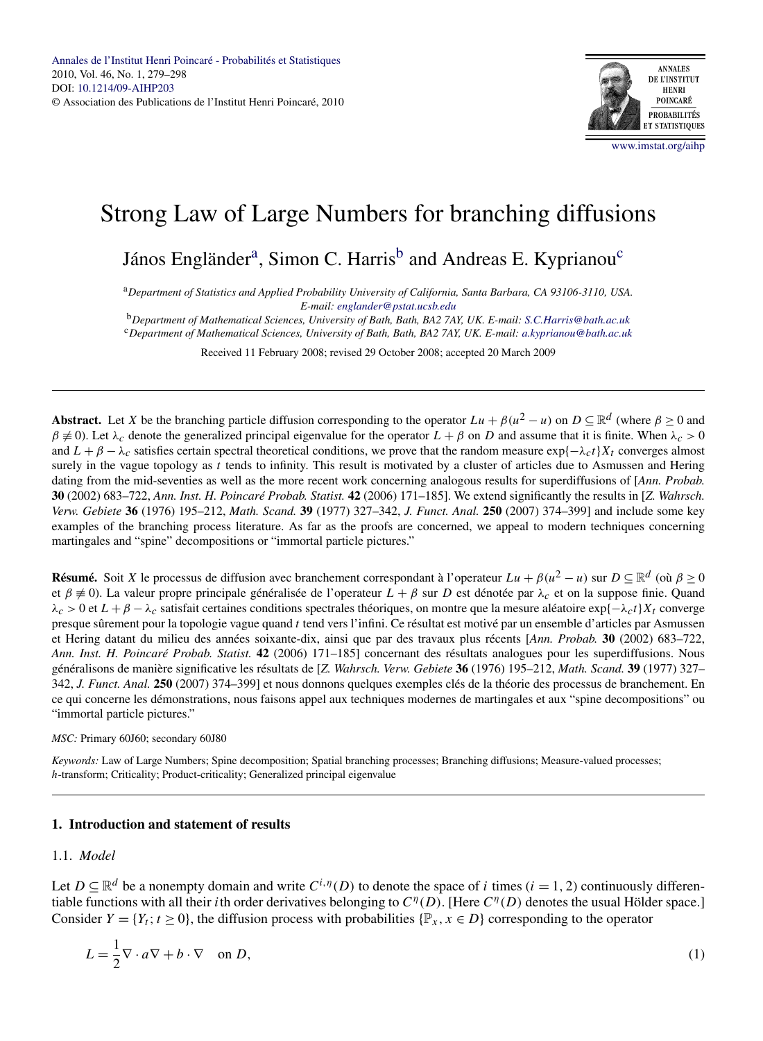

# Strong Law of Large Numbers for branching diffusions

János Engländer<sup>a</sup>, Simon C. Harris<sup>b</sup> and Andreas E. Kyprianou<sup>c</sup>

<sup>a</sup>*Department of Statistics and Applied Probability University of California, Santa Barbara, CA 93106-3110, USA. E-mail: [englander@pstat.ucsb.edu](mailto:englander@pstat.ucsb.edu)*

<sup>b</sup>*Department of Mathematical Sciences, University of Bath, Bath, BA2 7AY, UK. E-mail: [S.C.Harris@bath.ac.uk](mailto:S.C.Harris@bath.ac.uk)*

<sup>c</sup>*Department of Mathematical Sciences, University of Bath, Bath, BA2 7AY, UK. E-mail: [a.kyprianou@bath.ac.uk](mailto:a.kyprianou@bath.ac.uk)*

Received 11 February 2008; revised 29 October 2008; accepted 20 March 2009

**Abstract.** Let *X* be the branching particle diffusion corresponding to the operator  $Lu + \beta(u^2 - u)$  on  $D \subseteq \mathbb{R}^d$  (where  $\beta \ge 0$  and  $\beta \neq 0$ ). Let  $\lambda_c$  denote the generalized principal eigenvalue for the operator  $L + \beta$  on *D* and assume that it is finite. When  $\lambda_c > 0$ and  $L + \beta - \lambda_c$  satisfies certain spectral theoretical conditions, we prove that the random measure  $\exp{\{-\lambda_c t\}}X_t$  converges almost surely in the vague topology as *t* tends to infinity. This result is motivated by a cluster of articles due to Asmussen and Hering dating from the mid-seventies as well as the more recent work concerning analogous results for superdiffusions of [*Ann. Probab.* **30** (2002) 683–722, *Ann. Inst. H. Poincaré Probab. Statist.* **42** (2006) 171–185]. We extend significantly the results in [*Z. Wahrsch. Verw. Gebiete* **36** (1976) 195–212, *Math. Scand.* **39** (1977) 327–342, *J. Funct. Anal.* **250** (2007) 374–399] and include some key examples of the branching process literature. As far as the proofs are concerned, we appeal to modern techniques concerning martingales and "spine" decompositions or "immortal particle pictures."

**Résumé.** Soit *X* le processus de diffusion avec branchement correspondant à l'operateur  $Lu + \beta(u^2 - u)$  sur  $D \subseteq \mathbb{R}^d$  (où  $\beta \ge 0$ ) et *β* ≡ 0). La valeur propre principale généralisée de l'operateur *L* + *β* sur *D* est dénotée par *λc* et on la suppose finie. Quand *λc >* 0 et *L* + *β* − *λc* satisfait certaines conditions spectrales théoriques, on montre que la mesure aléatoire exp{−*λct*}*Xt* converge presque sûrement pour la topologie vague quand *t* tend vers l'infini. Ce résultat est motivé par un ensemble d'articles par Asmussen et Hering datant du milieu des années soixante-dix, ainsi que par des travaux plus récents [*Ann. Probab.* **30** (2002) 683–722, *Ann. Inst. H. Poincaré Probab. Statist.* **42** (2006) 171–185] concernant des résultats analogues pour les superdiffusions. Nous généralisons de manière significative les résultats de [*Z. Wahrsch. Verw. Gebiete* **36** (1976) 195–212, *Math. Scand.* **39** (1977) 327– 342, *J. Funct. Anal.* **250** (2007) 374–399] et nous donnons quelques exemples clés de la théorie des processus de branchement. En ce qui concerne les démonstrations, nous faisons appel aux techniques modernes de martingales et aux "spine decompositions" ou "immortal particle pictures."

*MSC:* Primary 60J60; secondary 60J80

*Keywords:* Law of Large Numbers; Spine decomposition; Spatial branching processes; Branching diffusions; Measure-valued processes; *h*-transform; Criticality; Product-criticality; Generalized principal eigenvalue

## **1. Introduction and statement of results**

## 1.1. *Model*

Let  $D \subseteq \mathbb{R}^d$  be a nonempty domain and write  $C^{i,\eta}(D)$  to denote the space of *i* times (*i* = 1, 2) continuously differentiable functions with all their *i*th order derivatives belonging to  $C^{\eta}(D)$ . [Here  $C^{\eta}(D)$  denotes the usual Hölder space.] Consider  $Y = \{Y_t; t \geq 0\}$ , the diffusion process with probabilities  $\{\mathbb{P}_x, x \in D\}$  corresponding to the operator

$$
L = \frac{1}{2}\nabla \cdot a\nabla + b \cdot \nabla \quad \text{on } D,
$$
\n(1)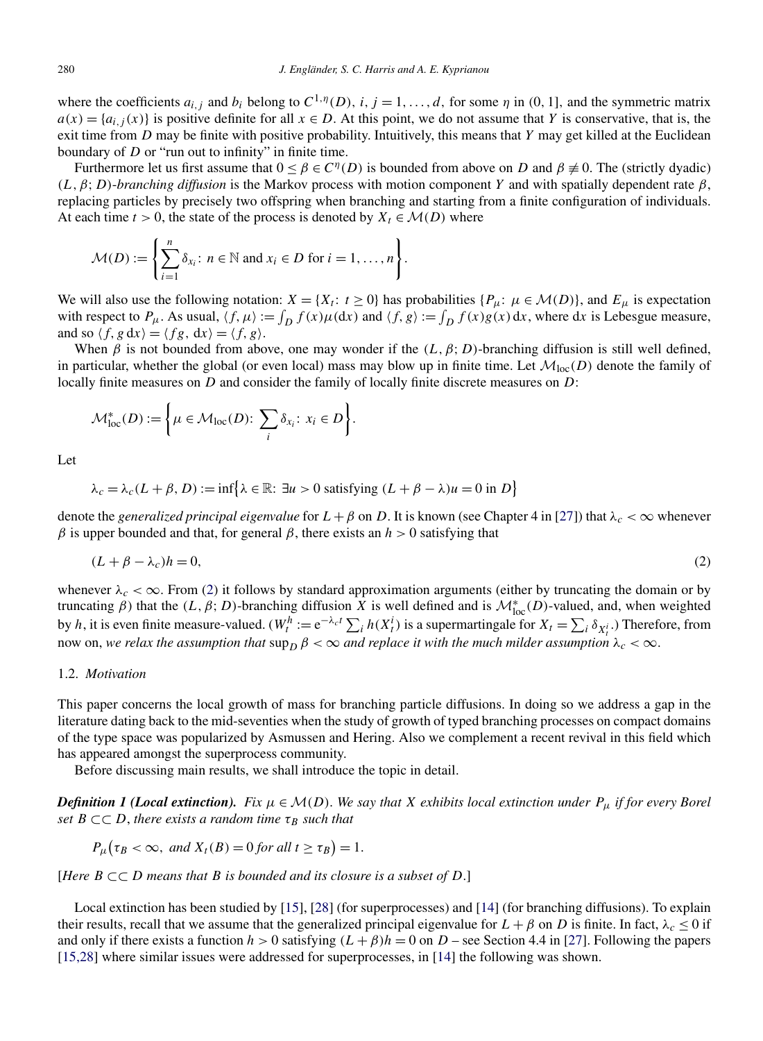where the coefficients  $a_{i,j}$  and  $b_i$  belong to  $C^{1,\eta}(D)$ ,  $i, j = 1, ..., d$ , for some  $\eta$  in  $(0, 1]$ , and the symmetric matrix  $a(x) = \{a_{i,j}(x)\}$  is positive definite for all  $x \in D$ . At this point, we do not assume that *Y* is conservative, that is, the exit time from *D* may be finite with positive probability. Intuitively, this means that *Y* may get killed at the Euclidean boundary of *D* or "run out to infinity" in finite time.

Furthermore let us first assume that  $0 \leq \beta \in C^{\eta}(D)$  is bounded from above on *D* and  $\beta \neq 0$ . The (strictly dyadic) *(L,β*; *D)*-*branching diffusion* is the Markov process with motion component *Y* and with spatially dependent rate *β*, replacing particles by precisely two offspring when branching and starting from a finite configuration of individuals. At each time  $t > 0$ , the state of the process is denoted by  $X_t \in \mathcal{M}(D)$  where

$$
\mathcal{M}(D) := \left\{ \sum_{i=1}^n \delta_{x_i} : n \in \mathbb{N} \text{ and } x_i \in D \text{ for } i = 1, \dots, n \right\}.
$$

We will also use the following notation:  $X = \{X_t : t \ge 0\}$  has probabilities  $\{P_\mu : \mu \in \mathcal{M}(D)\}$ , and  $E_\mu$  is expectation with respect to  $P_\mu$ . As usual,  $\langle f, \mu \rangle := \int_D f(x) \mu(\mathrm{d}x)$  and  $\langle f, g \rangle := \int_D f(x) g(x) \, \mathrm{d}x$ , where  $\mathrm{d}x$  is Lebesgue measure, and so  $\langle f, g \, dx \rangle = \langle fg, dx \rangle = \langle f, g \rangle$ .

When  $\beta$  is not bounded from above, one may wonder if the  $(L, \beta, D)$ -branching diffusion is still well defined, in particular, whether the global (or even local) mass may blow up in finite time. Let  $\mathcal{M}_{loc}(D)$  denote the family of locally finite measures on *D* and consider the family of locally finite discrete measures on *D*:

$$
\mathcal{M}^*_{\text{loc}}(D) := \left\{ \mu \in \mathcal{M}_{\text{loc}}(D) \colon \sum_i \delta_{x_i} \colon x_i \in D \right\}.
$$

Let

$$
\lambda_c = \lambda_c (L + \beta, D) := \inf \{ \lambda \in \mathbb{R} : \exists u > 0 \text{ satisfying } (L + \beta - \lambda)u = 0 \text{ in } D \}
$$

denote the *generalized principal eigenvalue* for  $L + \beta$  on *D*. It is known (see Chapter 4 in [\[27\]](#page-19-0)) that  $\lambda_c < \infty$  whenever *β* is upper bounded and that, for general *β*, there exists an *h* > 0 satisfying that

$$
(L + \beta - \lambda_c)h = 0,\t\t(2)
$$

whenever  $\lambda_c < \infty$ . From (2) it follows by standard approximation arguments (either by truncating the domain or by truncating *β*) that the  $(L, \beta; D)$ -branching diffusion  $\hat{X}$  is well defined and is  $\mathcal{M}^*_{loc}(D)$ -valued, and, when weighted by *h*, it is even finite measure-valued.  $(W_t^h := e^{-\lambda_c t} \sum_i h(X_t^i)$  is a supermartingale for  $X_t = \sum_i \delta_{X_t^i}$ .) Therefore, from now on, we relax the assumption that  $\sup_D \beta < \infty$  and replace it with the much milder assumption  $\lambda_c < \infty$ .

# 1.2. *Motivation*

This paper concerns the local growth of mass for branching particle diffusions. In doing so we address a gap in the literature dating back to the mid-seventies when the study of growth of typed branching processes on compact domains of the type space was popularized by Asmussen and Hering. Also we complement a recent revival in this field which has appeared amongst the superprocess community.

Before discussing main results, we shall introduce the topic in detail.

*Definition 1 (Local extinction). Fix*  $\mu \in \mathcal{M}(D)$ . *We say that X exhibits local extinction under*  $P_{\mu}$  *if for every Borel set*  $B \subset\subset D$ , *there exists a random time*  $\tau_B$  *such that* 

$$
P_{\mu}(\tau_B < \infty, \text{ and } X_t(B) = 0 \text{ for all } t \geq \tau_B) = 1.
$$

[*Here B* ⊂⊂ *D means that B is bounded and its closure is a subset of D*.]

Local extinction has been studied by [\[15\]](#page-18-0), [\[28\]](#page-19-0) (for superprocesses) and [\[14\]](#page-18-0) (for branching diffusions). To explain their results, recall that we assume that the generalized principal eigenvalue for  $L + \beta$  on *D* is finite. In fact,  $\lambda_c \le 0$  if and only if there exists a function  $h > 0$  satisfying  $(L + \beta)h = 0$  on  $D$  – see Section 4.4 in [\[27\]](#page-19-0). Following the papers [\[15,28\]](#page-18-0) where similar issues were addressed for superprocesses, in [\[14\]](#page-18-0) the following was shown.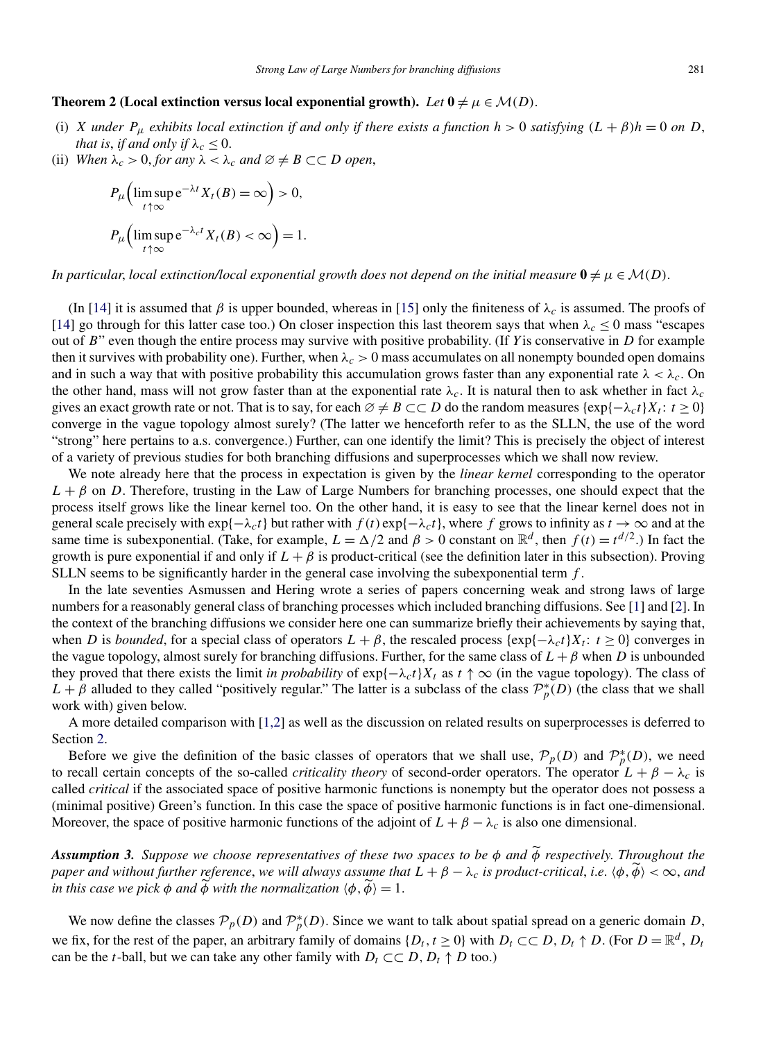#### **Theorem 2 (Local extinction versus local exponential growth).** *Let*  $0 \neq \mu \in \mathcal{M}(D)$ .

- (i) *X under*  $P_{\mu}$  *exhibits local extinction if and only if there exists a function*  $h > 0$  *satisfying*  $(L + \beta)h = 0$  *on D*, *that is, if and only if*  $\lambda_c \leq 0$ .
- (ii) *When*  $\lambda_c > 0$ , *for any*  $\lambda < \lambda_c$  *and*  $\emptyset \neq B \subset\subset D$  *open*,

$$
P_{\mu}\left(\limsup_{t \uparrow \infty} e^{-\lambda t} X_t(B) = \infty\right) > 0,
$$
  

$$
P_{\mu}\left(\limsup_{t \uparrow \infty} e^{-\lambda_c t} X_t(B) < \infty\right) = 1.
$$

*In particular, local extinction/local exponential growth does not depend on the initial measure*  $\mathbf{0} \neq \mu \in \mathcal{M}(D)$ .

(In [\[14\]](#page-18-0) it is assumed that  $\beta$  is upper bounded, whereas in [\[15\]](#page-18-0) only the finiteness of  $\lambda_c$  is assumed. The proofs of [\[14\]](#page-18-0) go through for this latter case too.) On closer inspection this last theorem says that when  $\lambda_c \le 0$  mass "escapes" out of *B*" even though the entire process may survive with positive probability. (If *Y* is conservative in *D* for example then it survives with probability one). Further, when  $\lambda_c > 0$  mass accumulates on all nonempty bounded open domains and in such a way that with positive probability this accumulation grows faster than any exponential rate  $\lambda < \lambda_c$ . On the other hand, mass will not grow faster than at the exponential rate  $\lambda_c$ . It is natural then to ask whether in fact  $\lambda_c$ gives an exact growth rate or not. That is to say, for each  $\emptyset \neq B \subset\subset D$  do the random measures  $\{\exp\{-\lambda_c t\}X_t : t \geq 0\}$ converge in the vague topology almost surely? (The latter we henceforth refer to as the SLLN, the use of the word "strong" here pertains to a.s. convergence.) Further, can one identify the limit? This is precisely the object of interest of a variety of previous studies for both branching diffusions and superprocesses which we shall now review.

We note already here that the process in expectation is given by the *linear kernel* corresponding to the operator  $L + \beta$  on *D*. Therefore, trusting in the Law of Large Numbers for branching processes, one should expect that the process itself grows like the linear kernel too. On the other hand, it is easy to see that the linear kernel does not in general scale precisely with  $\exp{\{-\lambda_c t\}}$  but rather with  $f(t) \exp{\{-\lambda_c t\}}$ , where *f* grows to infinity as  $t \to \infty$  and at the same time is subexponential. (Take, for example,  $L = \Delta/2$  and  $\beta > 0$  constant on  $\mathbb{R}^d$ , then  $f(t) = t^{d/2}$ .) In fact the growth is pure exponential if and only if  $L + \beta$  is product-critical (see the definition later in this subsection). Proving SLLN seems to be significantly harder in the general case involving the subexponential term *f* .

In the late seventies Asmussen and Hering wrote a series of papers concerning weak and strong laws of large numbers for a reasonably general class of branching processes which included branching diffusions. See [\[1\]](#page-18-0) and [\[2\]](#page-18-0). In the context of the branching diffusions we consider here one can summarize briefly their achievements by saying that, when *D* is *bounded*, for a special class of operators  $L + \beta$ , the rescaled process {exp{ $-\lambda_c t$ }*X<sub>t</sub>*:  $t \ge 0$ } converges in the vague topology, almost surely for branching diffusions. Further, for the same class of  $L + \beta$  when *D* is unbounded they proved that there exists the limit *in probability* of  $\exp{\{-\lambda_c t\}}X_t$  as  $t \uparrow \infty$  (in the vague topology). The class of  $L + \beta$  alluded to they called "positively regular." The latter is a subclass of the class  $\mathcal{P}_p^*(D)$  (the class that we shall work with) given below.

A more detailed comparison with [\[1,2\]](#page-18-0) as well as the discussion on related results on superprocesses is deferred to Section [2.](#page-4-0)

Before we give the definition of the basic classes of operators that we shall use,  $\mathcal{P}_p(D)$  and  $\mathcal{P}_p^*(D)$ , we need to recall certain concepts of the so-called *criticality theory* of second-order operators. The operator  $L + \beta - \lambda_c$  is called *critical* if the associated space of positive harmonic functions is nonempty but the operator does not possess a (minimal positive) Green's function. In this case the space of positive harmonic functions is in fact one-dimensional. Moreover, the space of positive harmonic functions of the adjoint of  $L + \beta - \lambda_c$  is also one dimensional.

*Assumption 3. Suppose we choose representatives of these two spaces to be φ and φ respectively*. *Throughout the paper and without further reference, we will always assume that*  $L + \beta - \lambda_c$  *is product-critical, i.e.*  $\langle \phi, \phi \rangle < \infty$ *, and in this case we pick*  $\phi$  *and*  $\phi$  *with the normalization*  $\langle \phi, \phi \rangle = 1$ .

We now define the classes  $P_p(D)$  and  $P_p^*(D)$ . Since we want to talk about spatial spread on a generic domain *D*, we fix, for the rest of the paper, an arbitrary family of domains  $\{D_t, t \geq 0\}$  with  $D_t \subset\subset D$ ,  $D_t \uparrow D$ . (For  $D = \mathbb{R}^d$ ,  $D_t$ can be the *t*-ball, but we can take any other family with  $D_t \subset\subset D$ ,  $D_t \uparrow D$  too.)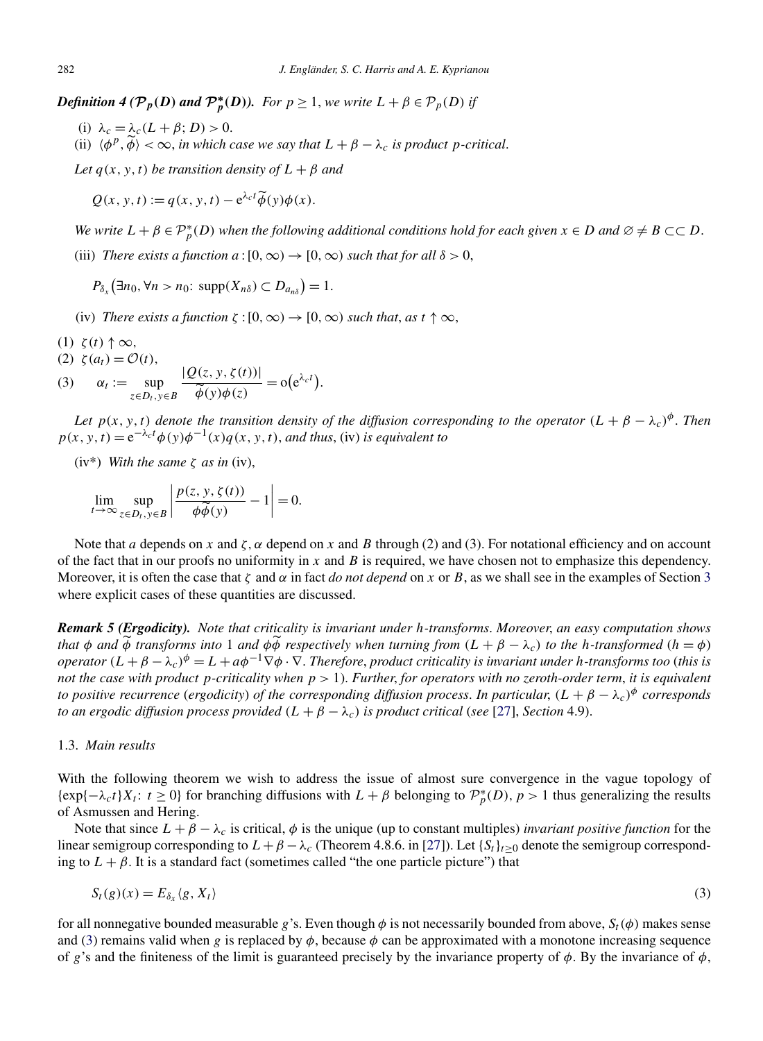<span id="page-3-0"></span>*Definition 4* ( $P_p(D)$  *and*  $P_p^*(D)$ ). For  $p \ge 1$ , we write  $L + \beta \in P_p(D)$  if

- (i)  $\lambda_c = \lambda_c (L + \beta; D) > 0.$
- (ii)  $\langle \phi^p, \widetilde{\phi} \rangle < \infty$ , *in which case we say that*  $L + \beta \lambda_c$  *is product p-critical.*

*Let*  $q(x, y, t)$  *be transition density of*  $L + \beta$  *and* 

 $Q(x, y, t) := q(x, y, t) - e^{\lambda_c t} \widetilde{\phi}(y) \phi(x).$ 

*We write*  $L + \beta \in \mathcal{P}_p^*(D)$  *when the following additional conditions hold for each given*  $x \in D$  *and*  $\emptyset \neq B \subset\subset D$ .

(iii) *There exists a function*  $a:[0,\infty) \to [0,\infty)$  *such that for all*  $\delta > 0$ ,

 $P_{\delta_x}(\exists n_0, \forall n > n_0: \text{ supp}(X_{n\delta}) \subset D_{a_{n\delta}}) = 1.$ 

- (iv) *There exists a function*  $\zeta$  :  $[0, \infty) \rightarrow [0, \infty)$  *such that, as*  $t \uparrow \infty$ ,
- (1) *ζ(t)* ↑ ∞*,*
- (2)  $\zeta$  (*a<sub>t</sub>*) =  $\mathcal{O}(t)$ ,

(2) 
$$
\zeta(a_t) = O(t)
$$
,  
\n(3)  $\alpha_t := \sup_{z \in D_t, y \in B} \frac{|Q(z, y, \zeta(t))|}{\widetilde{\phi}(y)\phi(z)} = o(e^{\lambda_c t}).$ 

*Let*  $p(x, y, t)$  *denote the transition density of the diffusion corresponding to the operator*  $(L + \beta - \lambda_c)^{\phi}$ . *Then*  $p(x, y, t) = e^{-\lambda_c t} \phi(y) \phi^{-1}(x) q(x, y, t)$ , *and thus*, (iv) *is equivalent to* 

(iv\*) *With the same ζ as in* (iv),

$$
\lim_{t \to \infty} \sup_{z \in D_t, y \in B} \left| \frac{p(z, y, \zeta(t))}{\phi \widetilde{\phi}(y)} - 1 \right| = 0.
$$

Note that *a* depends on *x* and  $\zeta$ ,  $\alpha$  depend on *x* and *B* through (2) and (3). For notational efficiency and on account of the fact that in our proofs no uniformity in *x* and *B* is required, we have chosen not to emphasize this dependency. Moreover, it is often the case that *ζ* and *α* in fact *do not depend* on *x* or *B*, as we shall see in the examples of Section [3](#page-6-0) where explicit cases of these quantities are discussed.

*Remark 5 (Ergodicity). Note that criticality is invariant under h-transforms*. *Moreover*, *an easy computation shows that*  $\phi$  *and*  $\bar{\phi}$  *transforms into* 1 *and*  $\phi\bar{\phi}$  *respectively when turning from*  $(L + \beta - \lambda_c)$  *to the h-transformed*  $(h = \phi)$ *operator*  $(L + \beta - \lambda_c)^{\phi} = L + a\phi^{-1}\nabla\phi \cdot \nabla$ . *Therefore, product criticality is invariant under h*-transforms too (this is *not the case with product p-criticality when p >* 1). *Further*, *for operators with no zeroth-order term*, *it is equivalent to positive recurrence (ergodicity) of the corresponding diffusion process. In particular,*  $(L + \beta - \lambda_c)^{\phi}$  *corresponds to an ergodic diffusion process provided*  $(L + \beta - \lambda_c)$  *is product critical (see* [\[27\]](#page-19-0), *Section* 4.9).

#### 1.3. *Main results*

With the following theorem we wish to address the issue of almost sure convergence in the vague topology of  $\{\exp\{-\lambda_c t\}X_t: t \geq 0\}$  for branching diffusions with  $L + \beta$  belonging to  $\mathcal{P}_p^*(D)$ ,  $p > 1$  thus generalizing the results of Asmussen and Hering.

Note that since  $L + \beta - \lambda_c$  is critical,  $\phi$  is the unique (up to constant multiples) *invariant positive function* for the linear semigroup corresponding to  $L + \beta - \lambda_c$  (Theorem 4.8.6. in [\[27\]](#page-19-0)). Let  $\{S_t\}_{t \geq 0}$  denote the semigroup corresponding to  $L + \beta$ . It is a standard fact (sometimes called "the one particle picture") that

$$
S_t(g)(x) = E_{\delta_x} \langle g, X_t \rangle \tag{3}
$$

for all nonnegative bounded measurable *g*'s. Even though  $\phi$  is not necessarily bounded from above,  $S_t(\phi)$  makes sense and (3) remains valid when *g* is replaced by  $\phi$ , because  $\phi$  can be approximated with a monotone increasing sequence of *g*'s and the finiteness of the limit is guaranteed precisely by the invariance property of  $\phi$ . By the invariance of  $\phi$ ,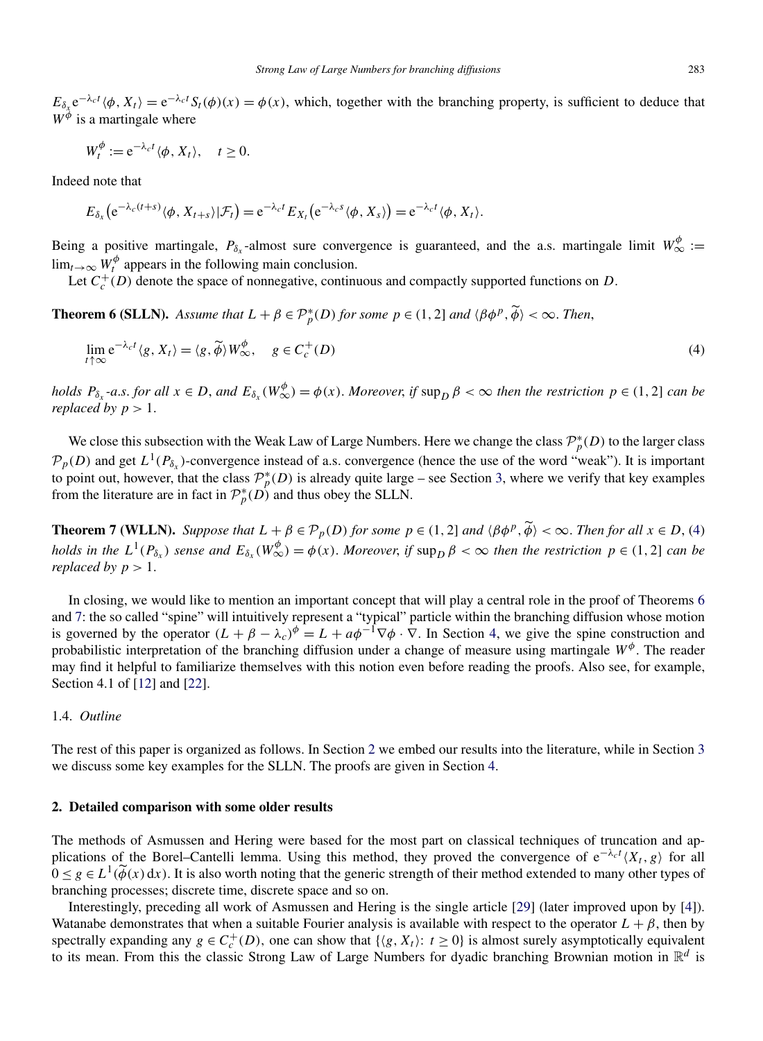<span id="page-4-0"></span> $E_{\delta_x} e^{-\lambda_c t} \langle \phi, X_t \rangle = e^{-\lambda_c t} S_t(\phi)(x) = \phi(x)$ , which, together with the branching property, is sufficient to deduce that  $W^{\phi}$  is a martingale where

$$
W_t^{\phi} := e^{-\lambda_c t} \langle \phi, X_t \rangle, \quad t \ge 0.
$$

Indeed note that

$$
E_{\delta_x}\big(e^{-\lambda_c(t+s)}\langle \phi, X_{t+s}\rangle|\mathcal{F}_t\big)=e^{-\lambda_c t}E_{X_t}\big(e^{-\lambda_c s}\langle \phi, X_s\rangle\big)=e^{-\lambda_c t}\langle \phi, X_t\rangle.
$$

Being a positive martingale,  $P_{\delta_x}$ -almost sure convergence is guaranteed, and the a.s. martingale limit  $W^{\phi}_{\infty}$  :=  $\lim_{t\to\infty} W_t^{\phi}$  appears in the following main conclusion.

Let  $C_c^+(D)$  denote the space of nonnegative, continuous and compactly supported functions on *D*.

**Theorem 6 (SLLN).** Assume that  $L + \beta \in \mathcal{P}_p^*(D)$  for some  $p \in (1, 2]$  and  $\langle \beta \phi^p, \widetilde{\phi} \rangle < \infty$ . Then,

$$
\lim_{t \uparrow \infty} e^{-\lambda_c t} \langle g, X_t \rangle = \langle g, \widetilde{\phi} \rangle W_{\infty}^{\phi}, \quad g \in C_c^+(D)
$$
\n
$$
(4)
$$

holds  $P_{\delta_x}$ -a.s. for all  $x \in D$ , and  $E_{\delta_x}(W^{\phi}_{\infty}) = \phi(x)$ . Moreover, if  $\sup_D \beta < \infty$  then the restriction  $p \in (1,2]$  can be *replaced by*  $p > 1$ .

We close this subsection with the Weak Law of Large Numbers. Here we change the class  $\mathcal{P}_p^*(D)$  to the larger class  $\mathcal{P}_p(D)$  and get  $L^1(P_{\delta_x})$ -convergence instead of a.s. convergence (hence the use of the word "weak"). It is important to point out, however, that the class  $\mathcal{P}_p^*(D)$  is already quite large – see Section [3,](#page-6-0) where we verify that key examples from the literature are in fact in  $\mathcal{P}_p^*(D)$  and thus obey the SLLN.

**Theorem 7 (WLLN).** Suppose that  $L + \beta \in \mathcal{P}_p(D)$  for some  $p \in (1, 2]$  and  $\langle \beta \phi^p, \widetilde{\phi} \rangle < \infty$ . Then for all  $x \in D$ , (4) holds in the  $L^1(P_{\delta_x})$  sense and  $E_{\delta_x}(W^{\phi}_{\infty}) = \phi(x)$ . Moreover, if  $\sup_D \beta < \infty$  then the restriction  $p \in (1,2]$  can be *replaced by*  $p > 1$ *.* 

In closing, we would like to mention an important concept that will play a central role in the proof of Theorems 6 and 7: the so called "spine" will intuitively represent a "typical" particle within the branching diffusion whose motion is governed by the operator  $(L + \beta - \lambda_c)^{\phi} = L + a\phi^{-1}\nabla\phi \cdot \nabla$ . In Section [4,](#page-10-0) we give the spine construction and probabilistic interpretation of the branching diffusion under a change of measure using martingale *Wφ*. The reader may find it helpful to familiarize themselves with this notion even before reading the proofs. Also see, for example, Section 4.1 of [\[12\]](#page-18-0) and [\[22\]](#page-19-0).

## 1.4. *Outline*

The rest of this paper is organized as follows. In Section 2 we embed our results into the literature, while in Section [3](#page-6-0) we discuss some key examples for the SLLN. The proofs are given in Section [4.](#page-10-0)

## **2. Detailed comparison with some older results**

The methods of Asmussen and Hering were based for the most part on classical techniques of truncation and applications of the Borel–Cantelli lemma. Using this method, they proved the convergence of  $e^{-\lambda_c t} \langle X_t, g \rangle$  for all  $0 \leq g \in L^1(\widetilde{\phi}(x) dx)$ . It is also worth noting that the generic strength of their method extended to many other types of branching processes; discrete time, discrete space and so on.

Interestingly, preceding all work of Asmussen and Hering is the single article [\[29\]](#page-19-0) (later improved upon by [\[4\]](#page-18-0)). Watanabe demonstrates that when a suitable Fourier analysis is available with respect to the operator  $L + \beta$ , then by spectrally expanding any  $g \in C_c^+(D)$ , one can show that  $\{(g, X_t): t \ge 0\}$  is almost surely asymptotically equivalent to its mean. From this the classic Strong Law of Large Numbers for dyadic branching Brownian motion in R*<sup>d</sup>* is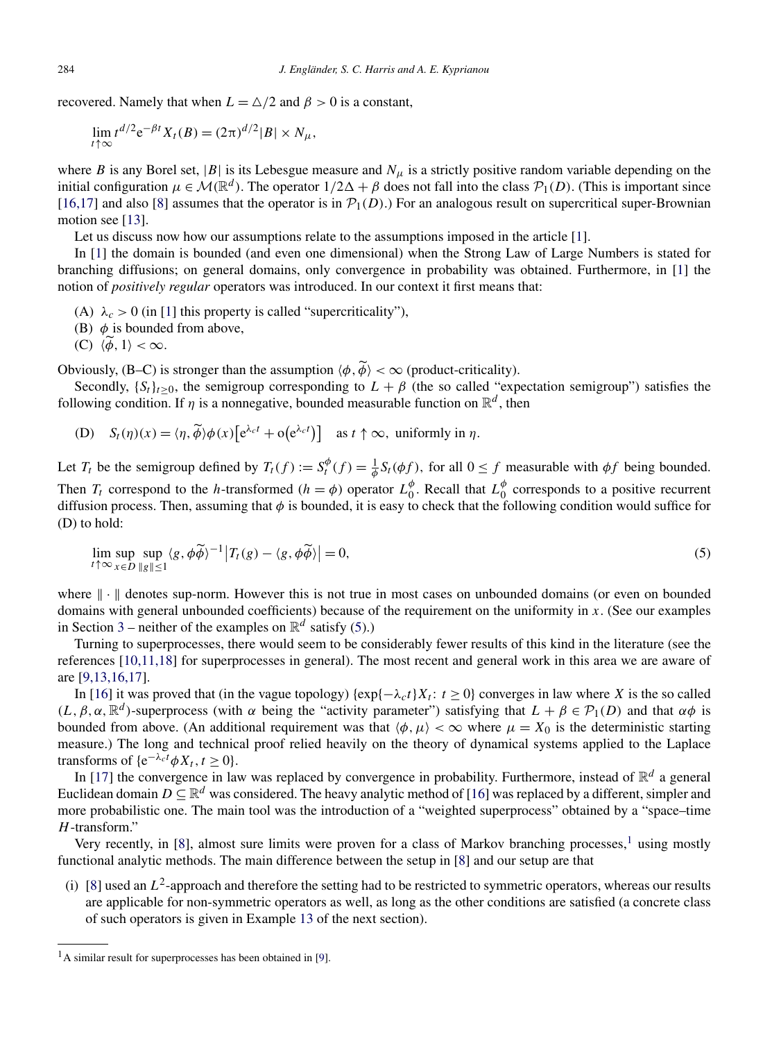<span id="page-5-0"></span>recovered. Namely that when  $L = \Delta/2$  and  $\beta > 0$  is a constant,

$$
\lim_{t \uparrow \infty} t^{d/2} e^{-\beta t} X_t(B) = (2\pi)^{d/2} |B| \times N_{\mu},
$$

where *B* is any Borel set,  $|B|$  is its Lebesgue measure and  $N_\mu$  is a strictly positive random variable depending on the initial configuration  $\mu \in \mathcal{M}(\mathbb{R}^d)$ . The operator  $1/2\Delta + \beta$  does not fall into the class  $\mathcal{P}_1(D)$ . (This is important since [\[16,17\]](#page-18-0) and also [\[8\]](#page-18-0) assumes that the operator is in  $\mathcal{P}_1(D)$ .) For an analogous result on supercritical super-Brownian motion see [\[13\]](#page-18-0).

Let us discuss now how our assumptions relate to the assumptions imposed in the article [\[1\]](#page-18-0).

In [\[1\]](#page-18-0) the domain is bounded (and even one dimensional) when the Strong Law of Large Numbers is stated for branching diffusions; on general domains, only convergence in probability was obtained. Furthermore, in [\[1\]](#page-18-0) the notion of *positively regular* operators was introduced. In our context it first means that:

- (A)  $\lambda_c > 0$  (in [\[1\]](#page-18-0) this property is called "supercriticality"),
- (B)  $\phi$  is bounded from above,
- (C)  $\langle \phi, 1 \rangle < \infty$ .

Obviously, (B–C) is stronger than the assumption  $\langle \phi, \phi \rangle < \infty$  (product-criticality).

Secondly,  $\{S_t\}_{t>0}$ , the semigroup corresponding to  $L + \beta$  (the so called "expectation semigroup") satisfies the following condition. If  $\eta$  is a nonnegative, bounded measurable function on  $\mathbb{R}^d$ , then

(D) 
$$
S_t(\eta)(x) = \langle \eta, \widetilde{\phi} \rangle \phi(x) \left[ e^{\lambda_c t} + o(e^{\lambda_c t}) \right]
$$
 as  $t \uparrow \infty$ , uniformly in  $\eta$ .

Let  $T_t$  be the semigroup defined by  $T_t(f) := S_t^{\phi}(f) = \frac{1}{\phi} S_t(\phi f)$ , for all  $0 \le f$  measurable with  $\phi f$  being bounded. Then  $T_t$  correspond to the *h*-transformed ( $h = \phi$ ) operator  $L_0^{\phi}$ . Recall that  $L_0^{\phi}$  corresponds to a positive recurrent diffusion process. Then, assuming that *φ* is bounded, it is easy to check that the following condition would suffice for (D) to hold:

$$
\lim_{t \uparrow \infty} \sup_{x \in D} \sup_{\|g\| \le 1} \langle g, \phi \widetilde{\phi} \rangle^{-1} \big| T_t(g) - \langle g, \phi \widetilde{\phi} \rangle \big| = 0,
$$
\n(5)

where  $\|\cdot\|$  denotes sup-norm. However this is not true in most cases on unbounded domains (or even on bounded domains with general unbounded coefficients) because of the requirement on the uniformity in *x*. (See our examples in Section [3](#page-6-0) – neither of the examples on  $\mathbb{R}^d$  satisfy (5).)

Turning to superprocesses, there would seem to be considerably fewer results of this kind in the literature (see the references [\[10,11,18\]](#page-18-0) for superprocesses in general). The most recent and general work in this area we are aware of are [\[9,13,16,17\]](#page-18-0).

In [\[16\]](#page-18-0) it was proved that (in the vague topology) { $\exp{-\lambda_c t}X_t$ :  $t \ge 0$ } converges in law where *X* is the so called  $(L, \beta, \alpha, \mathbb{R}^d)$ -superprocess (with  $\alpha$  being the "activity parameter") satisfying that  $L + \beta \in \mathcal{P}_1(D)$  and that  $\alpha \phi$  is bounded from above. (An additional requirement was that  $\langle \phi, \mu \rangle < \infty$  where  $\mu = X_0$  is the deterministic starting measure.) The long and technical proof relied heavily on the theory of dynamical systems applied to the Laplace transforms of  $\{e^{-\lambda_c t} \phi X_t, t \ge 0\}.$ 

In [\[17\]](#page-18-0) the convergence in law was replaced by convergence in probability. Furthermore, instead of  $\mathbb{R}^d$  a general Euclidean domain  $D \subseteq \mathbb{R}^d$  was considered. The heavy analytic method of [\[16\]](#page-18-0) was replaced by a different, simpler and more probabilistic one. The main tool was the introduction of a "weighted superprocess" obtained by a "space–time *H*-transform."

Very recently, in [\[8\]](#page-18-0), almost sure limits were proven for a class of Markov branching processes,<sup>1</sup> using mostly functional analytic methods. The main difference between the setup in [\[8\]](#page-18-0) and our setup are that

(i) [\[8\]](#page-18-0) used an  $L^2$ -approach and therefore the setting had to be restricted to symmetric operators, whereas our results are applicable for non-symmetric operators as well, as long as the other conditions are satisfied (a concrete class of such operators is given in Example [13](#page-9-0) of the next section).

 $<sup>1</sup>A$  similar result for superprocesses has been obtained in [\[9\]](#page-18-0).</sup>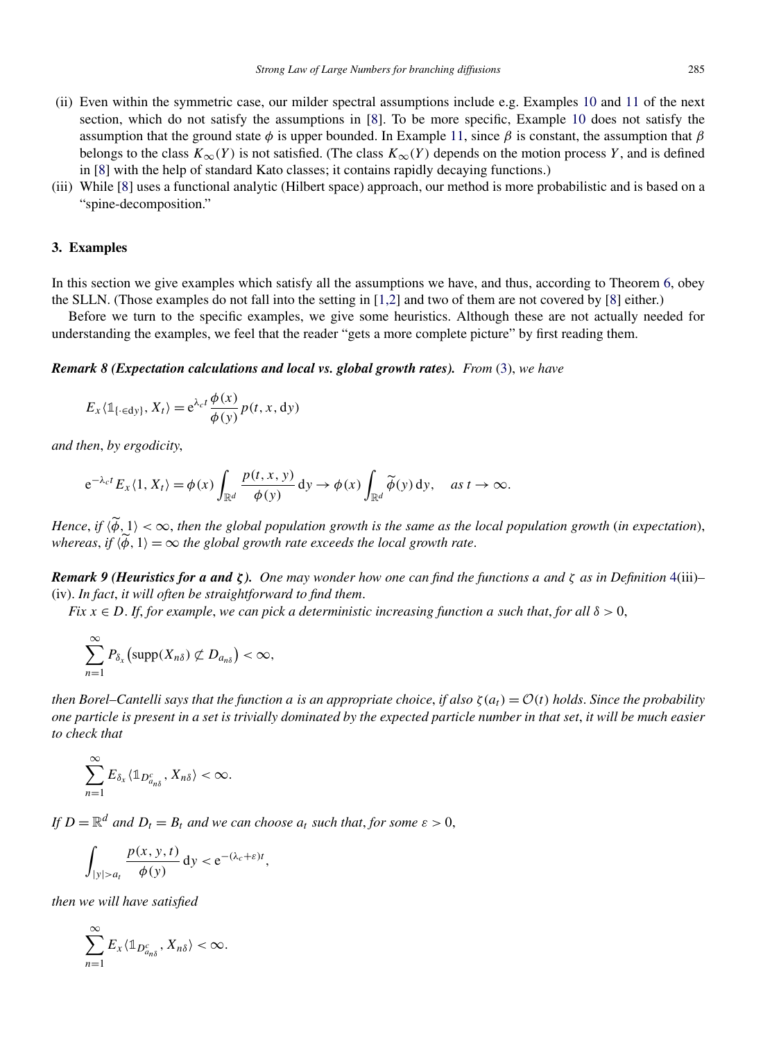- <span id="page-6-0"></span>(ii) Even within the symmetric case, our milder spectral assumptions include e.g. Examples [10](#page-7-0) and [11](#page-8-0) of the next section, which do not satisfy the assumptions in [\[8\]](#page-18-0). To be more specific, Example [10](#page-7-0) does not satisfy the assumption that the ground state  $\phi$  is upper bounded. In Example [11,](#page-8-0) since  $\beta$  is constant, the assumption that  $\beta$ belongs to the class  $K_\infty(Y)$  is not satisfied. (The class  $K_\infty(Y)$  depends on the motion process *Y*, and is defined in [\[8\]](#page-18-0) with the help of standard Kato classes; it contains rapidly decaying functions.)
- (iii) While [\[8\]](#page-18-0) uses a functional analytic (Hilbert space) approach, our method is more probabilistic and is based on a "spine-decomposition."

# **3. Examples**

In this section we give examples which satisfy all the assumptions we have, and thus, according to Theorem [6,](#page-4-0) obey the SLLN. (Those examples do not fall into the setting in [\[1,2\]](#page-18-0) and two of them are not covered by [\[8\]](#page-18-0) either.)

Before we turn to the specific examples, we give some heuristics. Although these are not actually needed for understanding the examples, we feel that the reader "gets a more complete picture" by first reading them.

*Remark 8 (Expectation calculations and local vs. global growth rates). From* [\(3\)](#page-3-0), *we have*

$$
E_x \langle \mathbb{1}_{\{\cdot \in dy\}}, X_t \rangle = e^{\lambda_c t} \frac{\phi(x)}{\phi(y)} p(t, x, dy)
$$

*and then*, *by ergodicity*,

$$
e^{-\lambda_c t} E_x \langle 1, X_t \rangle = \phi(x) \int_{\mathbb{R}^d} \frac{p(t, x, y)}{\phi(y)} dy \to \phi(x) \int_{\mathbb{R}^d} \widetilde{\phi}(y) dy, \quad \text{as } t \to \infty.
$$

*Hence*, *if*  $\langle \phi, 1 \rangle < \infty$ , *then the global population growth is the same as the local population growth* (*in expectation*), *whereas, if*  $\langle \phi, 1 \rangle = \infty$  *the global growth rate exceeds the local growth rate.* 

*Remark 9 (Heuristics for a and ζ ). One may wonder how one can find the functions a and ζ as in Definition* [4\(](#page-3-0)iii)*–* (iv). *In fact*, *it will often be straightforward to find them*.

*Fix*  $x \in D$ . *If, for example, we can pick a deterministic increasing function a such that, for all*  $\delta > 0$ ,

$$
\sum_{n=1}^{\infty} P_{\delta_x}(\mathrm{supp}(X_{n\delta}) \not\subset D_{a_{n\delta}}) < \infty,
$$

*then Borel–Cantelli says that the function a is an appropriate choice, if also*  $\zeta(a_t) = \mathcal{O}(t)$  *holds. Since the probability one particle is present in a set is trivially dominated by the expected particle number in that set*, *it will be much easier to check that*

$$
\sum_{n=1}^{\infty} E_{\delta_x} \langle \mathbb{1}_{D_{a_{n\delta}}^c}, X_{n\delta} \rangle < \infty.
$$

*If*  $D = \mathbb{R}^d$  *and*  $D_t = B_t$  *and* we can choose  $a_t$  such that, for some  $\varepsilon > 0$ ,

$$
\int_{|y|>a_t} \frac{p(x, y, t)}{\phi(y)} dy < e^{-(\lambda_c + \varepsilon)t},
$$

*then we will have satisfied*

$$
\sum_{n=1}^{\infty} E_x \langle \mathbb{1}_{D_{a_{n\delta}}^c}, X_{n\delta} \rangle < \infty.
$$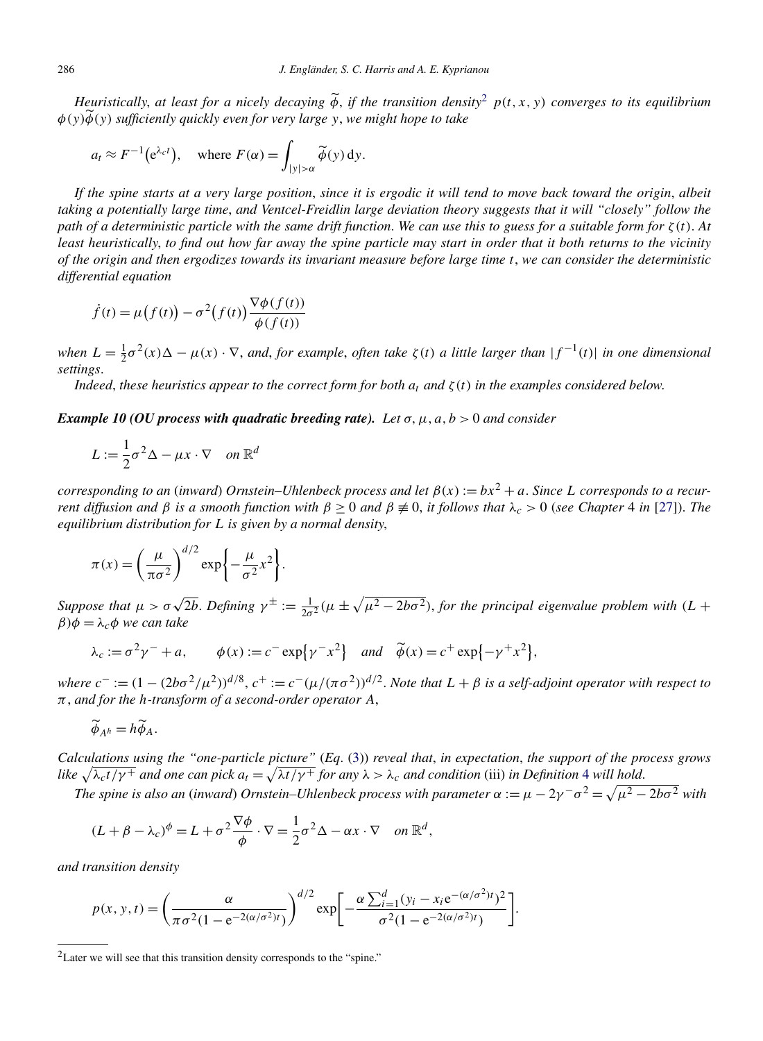<span id="page-7-0"></span>*Heuristically*, *at least for a nicely decaying φ* , *if the transition density*<sup>2</sup> *p(t,x,y) converges to its equilibrium φ(y)φ(y) sufficiently quickly even for very large y*, *we might hope to take*

$$
a_t \approx F^{-1}(e^{\lambda_c t}),
$$
 where  $F(\alpha) = \int_{|y| > \alpha} \widetilde{\phi}(y) dy.$ 

*If the spine starts at a very large position*, *since it is ergodic it will tend to move back toward the origin*, *albeit taking a potentially large time*, *and Ventcel-Freidlin large deviation theory suggests that it will "closely" follow the path of a deterministic particle with the same drift function*. *We can use this to guess for a suitable form for ζ(t)*. *At least heuristically*, *to find out how far away the spine particle may start in order that it both returns to the vicinity of the origin and then ergodizes towards its invariant measure before large time t*, *we can consider the deterministic differential equation*

$$
\dot{f}(t) = \mu(f(t)) - \sigma^2(f(t)) \frac{\nabla \phi(f(t))}{\phi(f(t))}
$$

*when*  $L = \frac{1}{2}\sigma^2(x)\Delta - \mu(x) \cdot \nabla$ , and, for example, often take  $\zeta(t)$  a little larger than  $|f^{-1}(t)|$  in one dimensional *settings*.

*Indeed, these heuristics appear to the correct form for both*  $a_t$  *and ζ(t) in the examples considered below.* 

*Example 10 (OU process with quadratic breeding rate). Let σ,μ,a,b >* 0 *and consider*

$$
L := \frac{1}{2}\sigma^2 \Delta - \mu x \cdot \nabla \quad on \ \mathbb{R}^d
$$

*corresponding to an (inward) Ornstein–Uhlenbeck process and let*  $\beta(x) := bx^2 + a$ . *Since L corresponds to a recurrent diffusion and β is a smooth function with*  $β ≥ 0$  *and*  $β ≠ 0$ , *it follows that*  $λ<sub>c</sub> > 0$  (*see Chapter* 4 *in* [\[27\]](#page-19-0)). *The equilibrium distribution for L is given by a normal density*,

$$
\pi(x) = \left(\frac{\mu}{\pi\sigma^2}\right)^{d/2} \exp\left\{-\frac{\mu}{\sigma^2}x^2\right\}.
$$

*Suppose that*  $\mu > \sigma \sqrt{2b}$ . *Defining*  $\gamma^{\pm} := \frac{1}{2\sigma^2}(\mu \pm \sqrt{\mu^2 - 2b\sigma^2})$ , *for the principal eigenvalue problem with*  $(L + b)$  $β)φ = λ<sub>c</sub>φ$  *we can take* 

$$
\lambda_c := \sigma^2 \gamma^- + a, \qquad \phi(x) := c^- \exp\left\{\gamma^- x^2\right\} \quad \text{and} \quad \widetilde{\phi}(x) = c^+ \exp\left\{-\gamma^+ x^2\right\},
$$

*where*  $c^- := (1 - (2b\sigma^2/\mu^2))^{d/8}$ ,  $c^+ := c^-(\mu/(\pi \sigma^2))^{d/2}$ . *Note that*  $L + \beta$  *is a self-adjoint operator with respect to π*, *and for the h-transform of a second-order operator A*,

$$
\widetilde{\phi}_{A^h}=h\widetilde{\phi}_A.
$$

*Calculations using the "one-particle picture"* (*Eq*. [\(3\)](#page-3-0)) *reveal that*, *in expectation*, *the support of the process grows like*  $\sqrt{\lambda_c t/\gamma^+}$  and one can pick  $a_t = \sqrt{\lambda t/\gamma^+}$  for any  $\lambda > \lambda_c$  and condition (iii) in Definition [4](#page-3-0) will hold.

*The spine is also an (inward) Ornstein–Uhlenbeck process with parameter*  $\alpha := \mu - 2\gamma^{-} \sigma^2 = \sqrt{\mu^2 - 2b\sigma^2}$  with

$$
(L + \beta - \lambda_c)^{\phi} = L + \sigma^2 \frac{\nabla \phi}{\phi} \cdot \nabla = \frac{1}{2} \sigma^2 \Delta - \alpha x \cdot \nabla \quad on \mathbb{R}^d,
$$

*and transition density*

$$
p(x, y, t) = \left(\frac{\alpha}{\pi \sigma^2 (1 - e^{-2(\alpha/\sigma^2)t})}\right)^{d/2} \exp\left[-\frac{\alpha \sum_{i=1}^d (y_i - x_i e^{-(\alpha/\sigma^2)t})^2}{\sigma^2 (1 - e^{-2(\alpha/\sigma^2)t})}\right].
$$

<sup>&</sup>lt;sup>2</sup>Later we will see that this transition density corresponds to the "spine."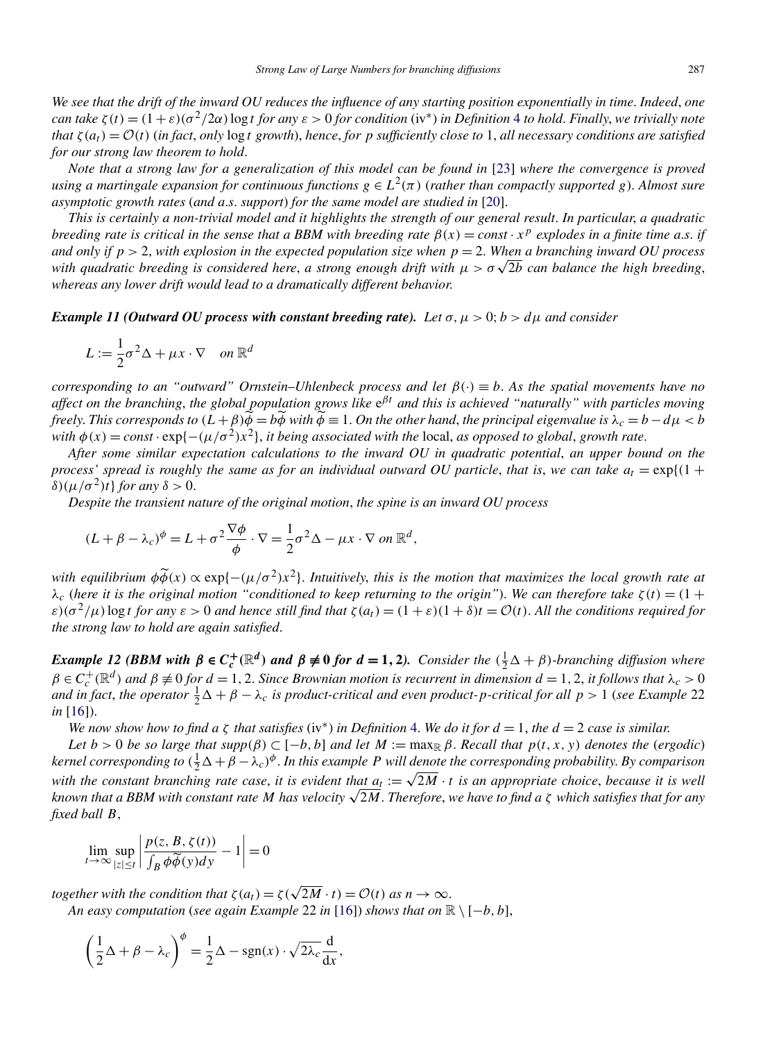<span id="page-8-0"></span>*We see that the drift of the inward OU reduces the influence of any starting position exponentially in time*. *Indeed*, *one can take*  $\zeta(t) = (1+\varepsilon)(\sigma^2/2\alpha)$  log *t for any*  $\varepsilon > 0$  *for condition* (iv\*) *in Definition* [4](#page-3-0) *to hold. Finally, we trivially note that*  $\zeta(a_t) = \mathcal{O}(t)$  (*in fact, only* log *t* growth), hence, for *p* sufficiently close to 1, all necessary conditions are satisfied *for our strong law theorem to hold*.

*Note that a strong law for a generalization of this model can be found in* [\[23\]](#page-19-0) *where the convergence is proved using a martingale expansion for continuous functions*  $g \in L^2(\pi)$  (*rather than compactly supported g*). *Almost sure asymptotic growth rates* (*and a*.*s*. *support*) *for the same model are studied in* [\[20\]](#page-18-0).

*This is certainly a non-trivial model and it highlights the strength of our general result*. *In particular*, *a quadratic breeding rate is critical in the sense that a BBM with breeding rate*  $\beta(x) = const \cdot x^p$  *explodes in a finite time a.s. if and only if*  $p > 2$ , *with explosion in the expected population size when*  $p = 2$ . *When a branching inward OU process with quadratic breeding is considered here, a strong enough drift with*  $\mu > \sigma \sqrt{2b}$  *can balance the high breeding, whereas any lower drift would lead to a dramatically different behavior*.

*Example 11 (Outward OU process with constant breeding rate). Let*  $\sigma, \mu > 0$ ;  $b > d\mu$  *and consider* 

$$
L := \frac{1}{2}\sigma^2 \Delta + \mu x \cdot \nabla \quad on \ \mathbb{R}^d
$$

*corresponding to an "outward" Ornstein–Uhlenbeck process and let β(*·*)* ≡ *b*. *As the spatial movements have no affect on the branching*, *the global population grows like* e*βt and this is achieved "naturally" with particles moving freely. This corresponds to*  $(L + \beta)\phi = b\phi$  with  $\phi \equiv 1$ . *On the other hand, the principal eigenvalue is*  $\lambda_c = b - d\mu < b$ *with*  $\phi(x) = const \cdot \exp\{-\frac{\mu}{\sigma^2}x^2\}$ , *it being associated with the* local, *as opposed to global*, *growth rate*.

*After some similar expectation calculations to the inward OU in quadratic potential*, *an upper bound on the process' spread is roughly the same as for an individual outward OU particle, that is, we can take*  $a_t = \exp\{(1 +$ *δ*)( $\mu/\sigma^2$ )*t*} *for any δ* > 0.

*Despite the transient nature of the original motion*, *the spine is an inward OU process*

$$
(L + \beta - \lambda_c)^{\phi} = L + \sigma^2 \frac{\nabla \phi}{\phi} \cdot \nabla = \frac{1}{2} \sigma^2 \Delta - \mu x \cdot \nabla \text{ on } \mathbb{R}^d,
$$

*with equilibrium*  $\phi \widetilde{\phi}(x) \propto \exp\{- (\mu/\sigma^2)x^2\}$ . *Intuitively, this is the motion that maximizes the local growth rate at*  $λ<sub>c</sub>$  (*here it is the original motion* "conditioned to keep returning to the origin"). We can therefore take  $ζ(t) = (1 +$  $\varepsilon$ )( $\sigma^2/\mu$ ) log *t* for any  $\varepsilon > 0$  and hence still find that  $\zeta(a_t) = (1 + \varepsilon)(1 + \delta)t = \mathcal{O}(t)$ . All the conditions required for *the strong law to hold are again satisfied*.

**Example 12 (BBM with**  $\beta \in C_c^+(\mathbb{R}^d)$  **and**  $\beta \neq 0$  **for**  $d = 1, 2$ **).** Consider the  $(\frac{1}{2}\Delta + \beta)$ -branching diffusion where  $\beta \in C_c^+(\mathbb{R}^d)$  and  $\beta \not\equiv 0$  for  $d=1,2$ . Since Brownian motion is recurrent in dimension  $d=1,2$ , it follows that  $\lambda_c>0$ *and in fact, the operator*  $\frac{1}{2}\Delta + \beta - \lambda_c$  *is product-critical and even product-p-critical for all*  $p > 1$  (*see Example* 22 *in* [\[16\]](#page-18-0)).

*We now show how to find a*  $\zeta$  *that satisfies* (iv<sup>\*</sup>) *in Definition* [4.](#page-3-0) *We do it for*  $d = 1$ *, the*  $d = 2$  *case is similar.* 

*Let*  $b > 0$  *be so large that*  $supp(\beta) \subset [-b, b]$  *and let*  $M := max_{\mathbb{R}} \beta$ . *Recall that*  $p(t, x, y)$  *denotes the* (*ergodic*) *kernel corresponding to*  $(\frac{1}{2}\Delta + \beta - \lambda_c)^{\phi}$ . In this example P will denote the corresponding probability. By comparison *with the constant branching rate case, it is evident that*  $a_t := \sqrt{2M} \cdot t$  *is an appropriate choice, because it is well known that a BBM with constant rate <sup>M</sup> has velocity* <sup>√</sup>2*M*. *Therefore*, *we have to find a <sup>ζ</sup> which satisfies that for any fixed ball B*,

$$
\lim_{t \to \infty} \sup_{|z| \le t} \left| \frac{p(z, B, \zeta(t))}{\int_B \phi \widetilde{\phi}(y) dy} - 1 \right| = 0
$$

*together with the condition that*  $\zeta(a_t) = \zeta(\sqrt{2M} \cdot t) = \mathcal{O}(t)$  *as*  $n \to \infty$ . *An easy computation* (*see again Example* 22 *in* [\[16\]](#page-18-0)) *shows that on*  $\mathbb{R} \setminus [-b, b]$ ,

$$
\left(\frac{1}{2}\Delta + \beta - \lambda_c\right)^{\phi} = \frac{1}{2}\Delta - \text{sgn}(x) \cdot \sqrt{2\lambda_c} \frac{d}{dx},
$$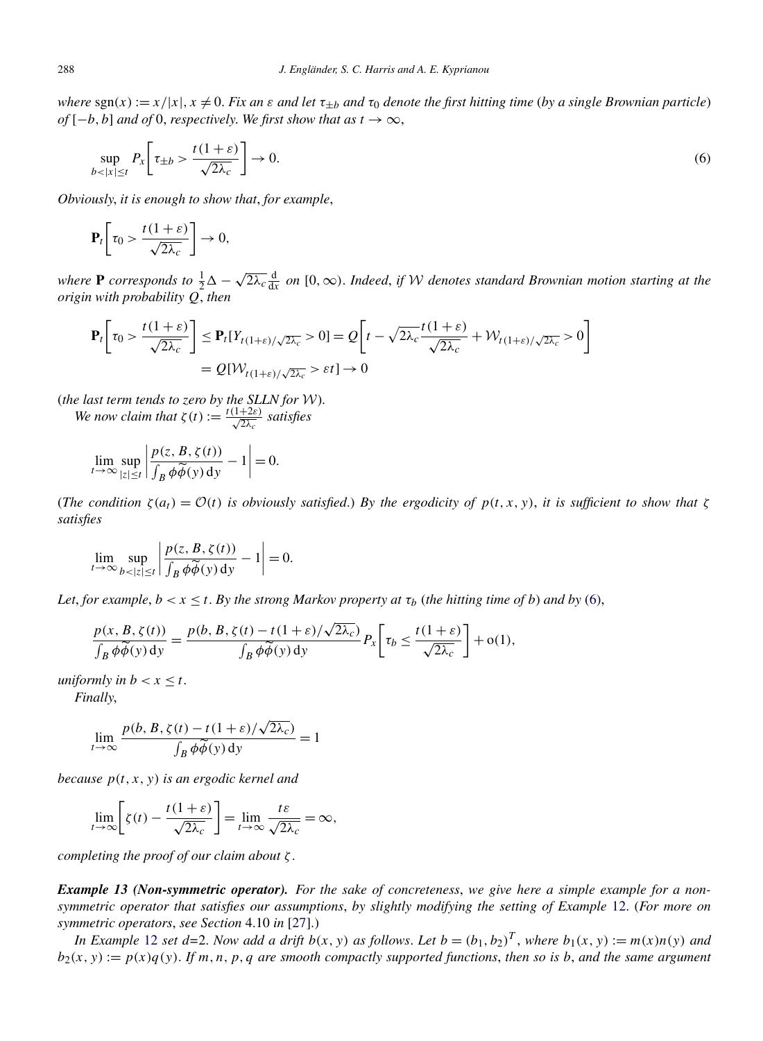<span id="page-9-0"></span>*where*  $\text{sgn}(x) := x/|x|, x \neq 0$ . *Fix an*  $\varepsilon$  *and let*  $\tau_{\pm b}$  *and*  $\tau_0$  *denote the first hitting time* (*by a single Brownian particle*) *of*  $[-b, b]$  *and of* 0, *respectively. We first show that as*  $t \to \infty$ ,

$$
\sup_{b < |x| \le t} P_x \left[ \tau_{\pm b} > \frac{t(1+\varepsilon)}{\sqrt{2\lambda_c}} \right] \to 0. \tag{6}
$$

*Obviously*, *it is enough to show that*, *for example*,

$$
\mathbf{P}_t \bigg[ \tau_0 > \frac{t(1+\varepsilon)}{\sqrt{2\lambda_c}} \bigg] \to 0,
$$

*where* **P** *corresponds to*  $\frac{1}{2}\Delta - \sqrt{2\lambda_c} \frac{d}{dx}$  *on* [0,  $\infty$ ). *Indeed, if W denotes standard Brownian motion starting at the origin with probability Q*, *then*

$$
\mathbf{P}_{t}\left[\tau_{0} > \frac{t(1+\varepsilon)}{\sqrt{2\lambda_{c}}}\right] \leq \mathbf{P}_{t}[Y_{t(1+\varepsilon)/\sqrt{2\lambda_{c}}} > 0] = \mathcal{Q}\left[t - \sqrt{2\lambda_{c}}\frac{t(1+\varepsilon)}{\sqrt{2\lambda_{c}}} + \mathcal{W}_{t(1+\varepsilon)/\sqrt{2\lambda_{c}}} > 0\right]
$$

$$
= \mathcal{Q}[\mathcal{W}_{t(1+\varepsilon)/\sqrt{2\lambda_{c}}} > \varepsilon t] \to 0
$$

(*the last term tends to zero by the SLLN for* W).

*We now claim that*  $\zeta(t) := \frac{t(1+2\varepsilon)}{\sqrt{2\lambda_c}}$  *satisfies* 

$$
\lim_{t \to \infty} \sup_{|z| \le t} \left| \frac{p(z, B, \zeta(t))}{\int_B \phi \widetilde{\phi}(y) \, dy} - 1 \right| = 0.
$$

(*The condition*  $\zeta(a_t) = \mathcal{O}(t)$  *is obviously satisfied.*) *By the ergodicity of*  $p(t, x, y)$ *, it is sufficient to show that*  $\zeta$ *satisfies*

$$
\lim_{t \to \infty} \sup_{b < |z| \le t} \left| \frac{p(z, B, \zeta(t))}{\int_B \phi \widetilde{\phi}(y) \, dy} - 1 \right| = 0.
$$

*Let*, *for example*,  $b < x \le t$ . *By the strong Markov property at*  $\tau_b$  (*the hitting time of b*) *and by* (6),

$$
\frac{p(x, B, \zeta(t))}{\int_B \phi \widetilde{\phi}(y) dy} = \frac{p(b, B, \zeta(t) - t(1+\varepsilon)/\sqrt{2\lambda_c})}{\int_B \phi \widetilde{\phi}(y) dy} P_x \left[ \tau_b \le \frac{t(1+\varepsilon)}{\sqrt{2\lambda_c}} \right] + o(1),
$$

*uniformly in*  $b < x \leq t$ . *Finally*,

$$
\lim_{t \to \infty} \frac{p(b, B, \zeta(t) - t(1 + \varepsilon)/\sqrt{2\lambda_c})}{\int_B \phi \widetilde{\phi}(y) \, dy} = 1
$$

*because p(t,x,y) is an ergodic kernel and*

$$
\lim_{t \to \infty} \left[ \zeta(t) - \frac{t(1+\varepsilon)}{\sqrt{2\lambda_c}} \right] = \lim_{t \to \infty} \frac{t\varepsilon}{\sqrt{2\lambda_c}} = \infty,
$$

*completing the proof of our claim about ζ* .

*Example 13 (Non-symmetric operator). For the sake of concreteness*, *we give here a simple example for a nonsymmetric operator that satisfies our assumptions*, *by slightly modifying the setting of Example* [12.](#page-8-0) (*For more on symmetric operators*, *see Section* 4.10 *in* [\[27\]](#page-19-0).)

*In Example* [12](#page-8-0) *set*  $d=2$ . *Now add a drift*  $b(x, y)$  *as follows. Let*  $b=(b_1, b_2)^T$ , *where*  $b_1(x, y) := m(x)n(y)$  *and*  $b_2(x, y) := p(x)q(y)$ . If *m,n,p,q* are smooth compactly supported functions, then so is *b, and the same argument*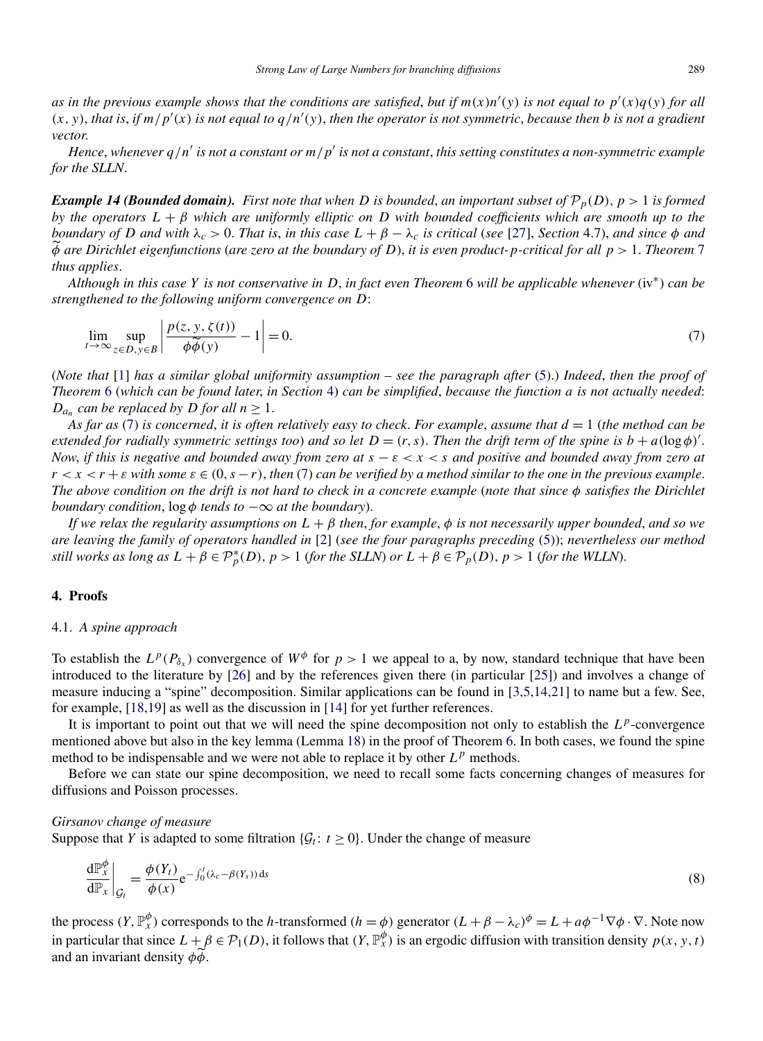<span id="page-10-0"></span>*as in the previous example shows that the conditions are satisfied, but if*  $m(x)n'(y)$  *is not equal to*  $p'(x)q(y)$  *for all*  $(x, y)$ , *that is, if*  $m/p'(x)$  *is not equal to*  $q/n'(y)$ , *then the operator is not symmetric, because then b is not a gradient vector*.

*Hence*, whenever  $q/n'$  is not a constant or  $m/p'$  is not a constant, this setting constitutes a non-symmetric example *for the SLLN*.

*<i>Example 14 (Bounded domain). First note that when D is bounded, an important subset of*  $\mathcal{P}_p(D)$ ,  $p > 1$  *is formed by the operators L* + *β which are uniformly elliptic on D with bounded coefficients which are smooth up to the* boundary of D and with  $\lambda_c > 0$ . That is, in this case  $L + \beta - \lambda_c$  is critical (see [\[27\]](#page-19-0), Section 4.7), and since  $\phi$  and *φ are Dirichlet eigenfunctions* (*are zero at the boundary of D*), *it is even product-p-critical for all p >* 1. *Theorem* [7](#page-4-0) *thus applies*.

*Although in this case Y is not conservative in D*, *in fact even Theorem* [6](#page-4-0) *will be applicable whenever* (iv∗) *can be strengthened to the following uniform convergence on D*:

$$
\lim_{t \to \infty} \sup_{z \in D, y \in B} \left| \frac{p(z, y, \zeta(t))}{\phi \widetilde{\phi}(y)} - 1 \right| = 0. \tag{7}
$$

(*Note that* [\[1\]](#page-18-0) *has a similar global uniformity assumption – see the paragraph after* [\(5\)](#page-5-0).) *Indeed*, *then the proof of Theorem* [6](#page-4-0) (*which can be found later*, *in Section* 4) *can be simplified*, *because the function a is not actually needed*: *D<sub>an</sub> can be replaced by D for all*  $n \geq 1$ *.* 

*As far as* (7) *is concerned*, *it is often relatively easy to check*. *For example*, *assume that d* = 1 (*the method can be extended for radially symmetric settings too) and so let*  $D = (r, s)$ *. Then the drift term of the spine is*  $b + a(\log \phi)'$ *. Now*, *if this is negative and bounded away from zero at s* − *ε<x<s and positive and bounded away from zero at*  $r < x < r + \varepsilon$  with some  $\varepsilon \in (0, s - r)$ , then (7) can be verified by a method similar to the one in the previous example. *The above condition on the drift is not hard to check in a concrete example* (*note that since φ satisfies the Dirichlet boundary condition,*  $\log \phi$  *tends to*  $-\infty$  *at the boundary*).

*If we relax the regularity assumptions on L* + *β then*, *for example*, *φ is not necessarily upper bounded*, *and so we are leaving the family of operators handled in* [\[2\]](#page-18-0) (*see the four paragraphs preceding* [\(5\)](#page-5-0)); *nevertheless our method still works as long as*  $L + \beta \in \mathcal{P}_p^*(D)$ ,  $p > 1$  (for the SLLN) or  $\overline{L} + \beta \in \mathcal{P}_p(D)$ ,  $p > 1$  (for the WLLN).

#### **4. Proofs**

# 4.1. *A spine approach*

To establish the  $L^p(P_{\delta_r})$  convergence of  $W^{\phi}$  for  $p > 1$  we appeal to a, by now, standard technique that have been introduced to the literature by [\[26\]](#page-19-0) and by the references given there (in particular [\[25\]](#page-19-0)) and involves a change of measure inducing a "spine" decomposition. Similar applications can be found in [\[3,5,14,21\]](#page-18-0) to name but a few. See, for example, [\[18,19\]](#page-18-0) as well as the discussion in [\[14\]](#page-18-0) for yet further references.

It is important to point out that we will need the spine decomposition not only to establish the L<sup>p</sup>-convergence mentioned above but also in the key lemma (Lemma [18\)](#page-12-0) in the proof of Theorem [6.](#page-4-0) In both cases, we found the spine method to be indispensable and we were not able to replace it by other  $L^p$  methods.

Before we can state our spine decomposition, we need to recall some facts concerning changes of measures for diffusions and Poisson processes.

#### *Girsanov change of measure*

Suppose that *Y* is adapted to some filtration  $\{\mathcal{G}_t : t \geq 0\}$ . Under the change of measure

$$
\left. \frac{\mathrm{d} \mathbb{P}_{x}^{\phi}}{\mathrm{d} \mathbb{P}_{x}} \right|_{\mathcal{G}_{t}} = \frac{\phi(Y_{t})}{\phi(x)} e^{-\int_{0}^{t} (\lambda_{c} - \beta(Y_{s})) \, \mathrm{d} s} \tag{8}
$$

the process  $(Y, \mathbb{P}_{X}^{\phi})$  corresponds to the *h*-transformed  $(h = \phi)$  generator  $(L + \beta - \lambda_{c})^{\phi} = L + a\phi^{-1} \nabla \phi \cdot \nabla$ . Note now in particular that since  $L + \beta \in \mathcal{P}_1(D)$ , it follows that  $(Y, \mathbb{P}_x^{\phi})$  is an ergodic diffusion with transition density  $p(x, y, t)$ and an invariant density *φφ* .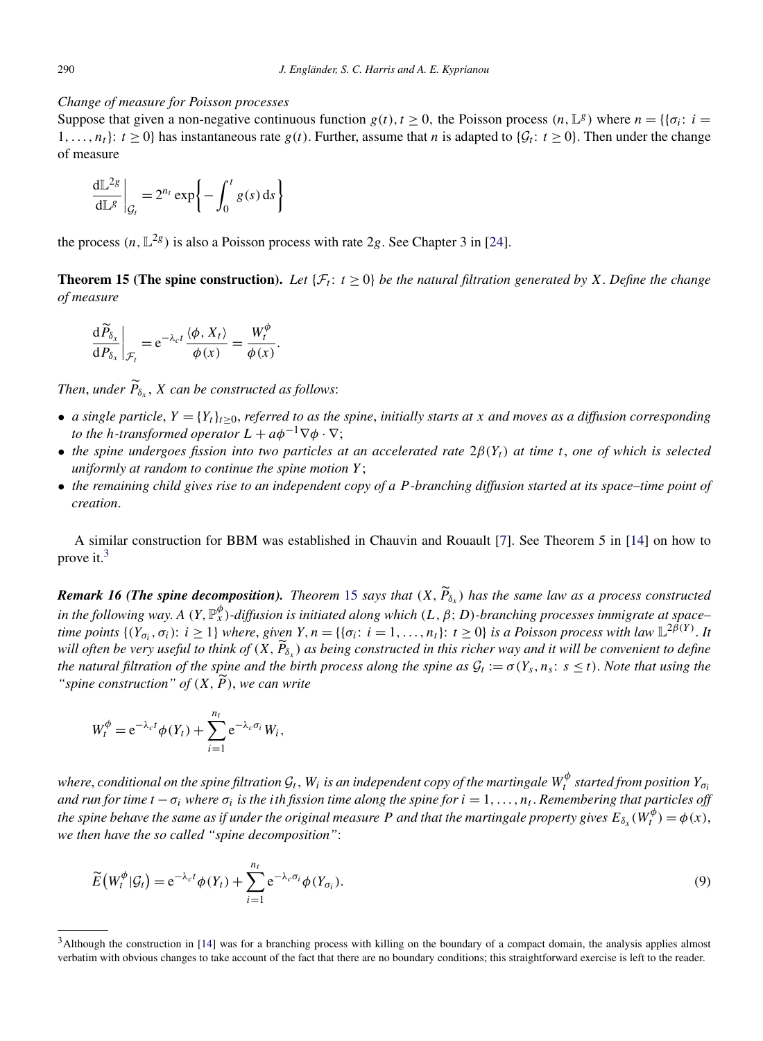#### <span id="page-11-0"></span>*Change of measure for Poisson processes*

Suppose that given a non-negative continuous function  $g(t), t \ge 0$ , the Poisson process  $(n, \mathbb{L}^g)$  where  $n = \{ {\sigma_i : i =$ 1,...,  $n_t$ :  $t \ge 0$ } has instantaneous rate  $g(t)$ . Further, assume that *n* is adapted to { $G_t$ :  $t \ge 0$ }. Then under the change of measure

$$
\left. \frac{\mathrm{d} \mathbb{L}^{2g}}{\mathrm{d} \mathbb{L}^{g}} \right|_{\mathcal{G}_{t}} = 2^{n_{t}} \exp \left\{-\int_{0}^{t} g(s) \, \mathrm{d} s\right\}
$$

the process  $(n, \mathbb{L}^{2g})$  is also a Poisson process with rate 2*g*. See Chapter 3 in [\[24\]](#page-19-0).

**Theorem 15 (The spine construction).** Let  $\{\mathcal{F}_t: t \geq 0\}$  be the natural filtration generated by X. Define the change *of measure*

$$
\left. \frac{\mathrm{d}\widetilde{P}_{\delta_x}}{\mathrm{d}P_{\delta_x}} \right|_{\mathcal{F}_t} = \mathrm{e}^{-\lambda_c t} \frac{\langle \phi, X_t \rangle}{\phi(x)} = \frac{W_t^{\phi}}{\phi(x)}.
$$

*Then, under*  $P_{\delta_x}$ *, X can be constructed as follows:* 

- *a single particle*,  $Y = \{Y_t\}_{t \geq 0}$ , *referred to as the spine*, *initially starts at x and moves as a diffusion corresponding to the h-transformed operator*  $L + a\phi^{-1}\nabla\phi \cdot \nabla$ ;
- *the spine undergoes fission into two particles at an accelerated rate*  $2\beta(Y_t)$  *at time t, one of which is selected uniformly at random to continue the spine motion Y* ;
- *the remaining child gives rise to an independent copy of a P -branching diffusion started at its space–time point of creation*.

A similar construction for BBM was established in Chauvin and Rouault [\[7\]](#page-18-0). See Theorem 5 in [\[14\]](#page-18-0) on how to prove it.<sup>3</sup>

*Remark 16 (The spine decomposition). Theorem 15 says that* $(X, P_{\delta_X})$  **has the same law as a process constructed** *in the following way*. *A (Y,*P*<sup>φ</sup> <sup>x</sup> )-diffusion is initiated along which (L,β*; *D)-branching processes immigrate at space– time points*  $\{(Y_{\sigma_i}, \sigma_i): i \geq 1\}$  *where, given*  $Y, n = \{ \{\sigma_i: i = 1, ..., n_t\}: t \geq 0 \}$  *is a Poisson process with law*  $\mathbb{L}^{2\hat{\beta}(Y)}$ . It *will often be very useful to think of*  $(X, P_{\delta_X})$  as being constructed in this richer way and it will be convenient to define *the natural filtration of the spine and the birth process along the spine as*  $\mathcal{G}_t := \sigma(Y_s, n_s : s \le t)$ . Note that using the "*spine construction*" of  $(X, \widetilde{P})$ , we can write

$$
W_t^{\phi} = e^{-\lambda_c t} \phi(Y_t) + \sum_{i=1}^{n_t} e^{-\lambda_c \sigma_i} W_i,
$$

 $w$ here, conditional on the spine filtration  $\mathcal{G}_t$ ,  $W_i$  is an independent copy of the martingale  $W_t^\phi$  started from position  $Y_{\sigma_i}$ *and run for time*  $t - \sigma_i$  *where*  $\sigma_i$  *is the ith fission time along the spine for*  $i = 1, ..., n_t$ *. Remembering that particles off the spine behave the same as if under the original measure P and that the martingale property gives*  $E_{\delta_x}(W_t^{\phi}) = \phi(x)$ *, we then have the so called "spine decomposition"*:

$$
\widetilde{E}\left(W_t^{\phi}|\mathcal{G}_t\right) = e^{-\lambda_c t} \phi(Y_t) + \sum_{i=1}^{n_t} e^{-\lambda_c \sigma_i} \phi(Y_{\sigma_i}).
$$
\n(9)

<sup>&</sup>lt;sup>3</sup>Although the construction in [\[14\]](#page-18-0) was for a branching process with killing on the boundary of a compact domain, the analysis applies almost verbatim with obvious changes to take account of the fact that there are no boundary conditions; this straightforward exercise is left to the reader.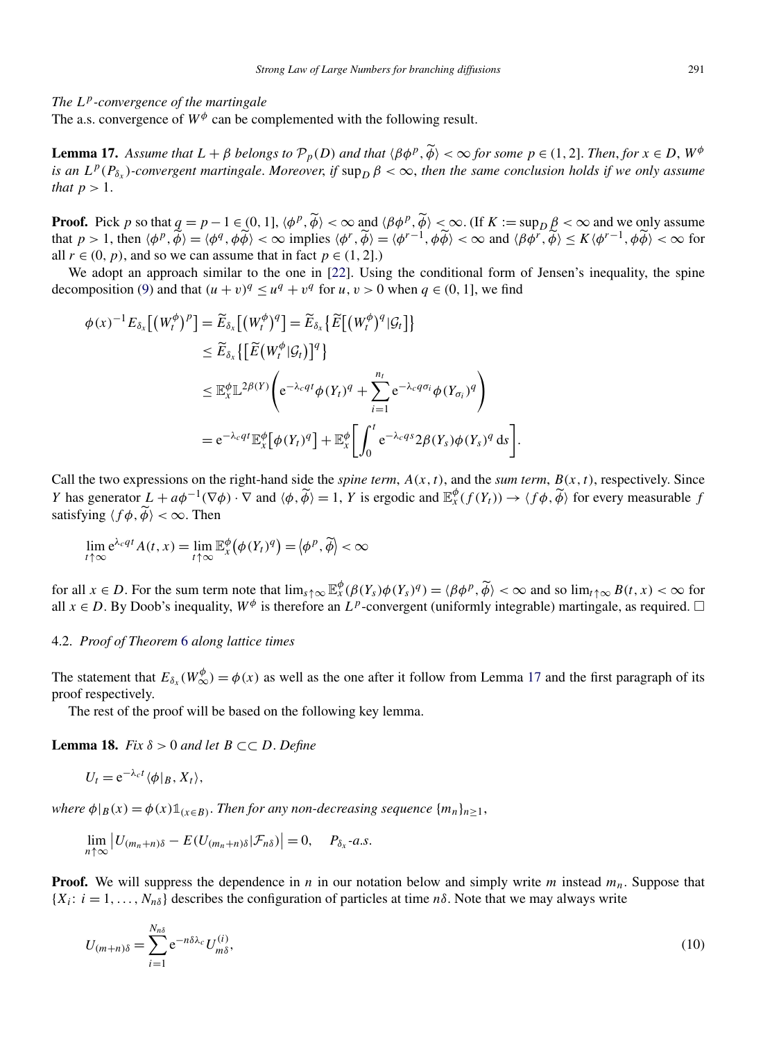# <span id="page-12-0"></span>*The Lp-convergence of the martingale*

The a.s. convergence of  $W^{\phi}$  can be complemented with the following result.

**Lemma 17.** Assume that  $L + \beta$  belongs to  $\mathcal{P}_p(D)$  and that  $\langle \beta \phi^p, \widetilde{\phi} \rangle < \infty$  for some  $p \in (1, 2]$ . Then, for  $x \in D$ ,  $W^{\phi}$ *is an*  $L^p(P_{\delta_r})$ *-convergent martingale. Moreover, if*  $\sup_D \beta < \infty$ *, then the same conclusion holds if we only assume that*  $p > 1$ .

**Proof.** Pick *p* so that  $q = p - 1 \in (0, 1]$ ,  $\langle \phi^p, \tilde{\phi} \rangle < \infty$  and  $\langle \beta \phi^p, \tilde{\phi} \rangle < \infty$ . (If  $K := \sup_D \beta < \infty$  and we only assume that  $p > 1$ , then  $\langle \phi^p, \tilde{\phi} \rangle = \langle \phi^q, \phi \tilde{\phi} \rangle < \infty$  implies  $\langle \phi^r, \tilde{\phi} \rangle = \langle \phi^{r-1}, \phi \tilde{\phi} \rangle < \infty$  and  $\langle \beta \phi^r, \tilde{\phi} \rangle \le K \langle \phi^{r-1}, \phi \tilde{\phi} \rangle < \infty$  for all  $r \in (0, p)$ , and so we can assume that in fact  $p \in (1, 2]$ .)

We adopt an approach similar to the one in [\[22\]](#page-19-0). Using the conditional form of Jensen's inequality, the spine decomposition [\(9\)](#page-11-0) and that  $(u + v)^q \leq u^q + v^q$  for  $u, v > 0$  when  $q \in (0, 1]$ , we find

$$
\phi(x)^{-1} E_{\delta_x} [(W_t^{\phi})^p] = \widetilde{E}_{\delta_x} [(W_t^{\phi})^q] = \widetilde{E}_{\delta_x} \{ \widetilde{E} [(W_t^{\phi})^q | \mathcal{G}_t] \}
$$
  
\n
$$
\leq \widetilde{E}_{\delta_x} \{ [\widetilde{E} (W_t^{\phi} | \mathcal{G}_t)]^q \}
$$
  
\n
$$
\leq \mathbb{E}_x^{\phi} \mathbb{L}^{2\beta(Y)} \left( e^{-\lambda_c q t} \phi(Y_t)^q + \sum_{i=1}^{n_t} e^{-\lambda_c q \sigma_i} \phi(Y_{\sigma_i})^q \right)
$$
  
\n
$$
= e^{-\lambda_c q t} \mathbb{E}_x^{\phi} [\phi(Y_t)^q] + \mathbb{E}_x^{\phi} \left[ \int_0^t e^{-\lambda_c q s} 2\beta(Y_s) \phi(Y_s)^q ds \right].
$$

Call the two expressions on the right-hand side the *spine term*,  $A(x, t)$ , and the *sum term*,  $B(x, t)$ , respectively. Since *Y* has generator  $L + a\phi^{-1}(\nabla \phi) \cdot \nabla$  and  $\langle \phi, \tilde{\phi} \rangle = 1$ , *Y* is ergodic and  $\mathbb{E}_x^{\phi}(f(Y_t)) \to \langle f\phi, \tilde{\phi} \rangle$  for every measurable *f* satisfying  $\langle f\phi, \phi \rangle < \infty$ . Then

$$
\lim_{t \uparrow \infty} e^{\lambda_c q t} A(t, x) = \lim_{t \uparrow \infty} \mathbb{E}_x^{\phi} (\phi(Y_t)^q) = \langle \phi^p, \widetilde{\phi} \rangle < \infty
$$

for all  $x \in D$ . For the sum term note that  $\lim_{s \uparrow \infty} \mathbb{E}_x^{\phi}(\beta(Y_s)\phi(Y_s)^q) = \langle \beta \phi^p, \widetilde{\phi} \rangle < \infty$  and so  $\lim_{t \uparrow \infty} B(t, x) < \infty$  for all  $x \in D$ . By Doob's inequality,  $W^{\phi}$  is therefore an  $L^p$ -convergent (uniformly integrable) martingale, as required.  $\Box$ 

#### 4.2. *Proof of Theorem* [6](#page-4-0) *along lattice times*

The statement that  $E_{\delta_x}(W^{\phi}_{\infty}) = \phi(x)$  as well as the one after it follow from Lemma 17 and the first paragraph of its proof respectively.

The rest of the proof will be based on the following key lemma.

**Lemma 18.** *Fix*  $\delta > 0$  *and let*  $B \subset\subset D$ *. Define* 

$$
U_t = e^{-\lambda_c t} \langle \phi | B, X_t \rangle,
$$

*where*  $\phi|_B(x) = \phi(x) \mathbb{1}_{x \in B}$ . *Then for any non-decreasing sequence*  $\{m_n\}_{n \geq 1}$ ,

$$
\lim_{n\uparrow\infty}\left|U_{(m_n+n)\delta}-E(U_{(m_n+n)\delta}|\mathcal{F}_{n\delta})\right|=0,\quad P_{\delta_x}\text{-}a.s.
$$

**Proof.** We will suppress the dependence in *n* in our notation below and simply write *m* instead  $m_n$ . Suppose that  ${X_i: i = 1, ..., N_{n\delta}}$  describes the configuration of particles at time  $n\delta$ . Note that we may always write

$$
U_{(m+n)\delta} = \sum_{i=1}^{N_{n\delta}} e^{-n\delta\lambda_c} U_{m\delta}^{(i)},\tag{10}
$$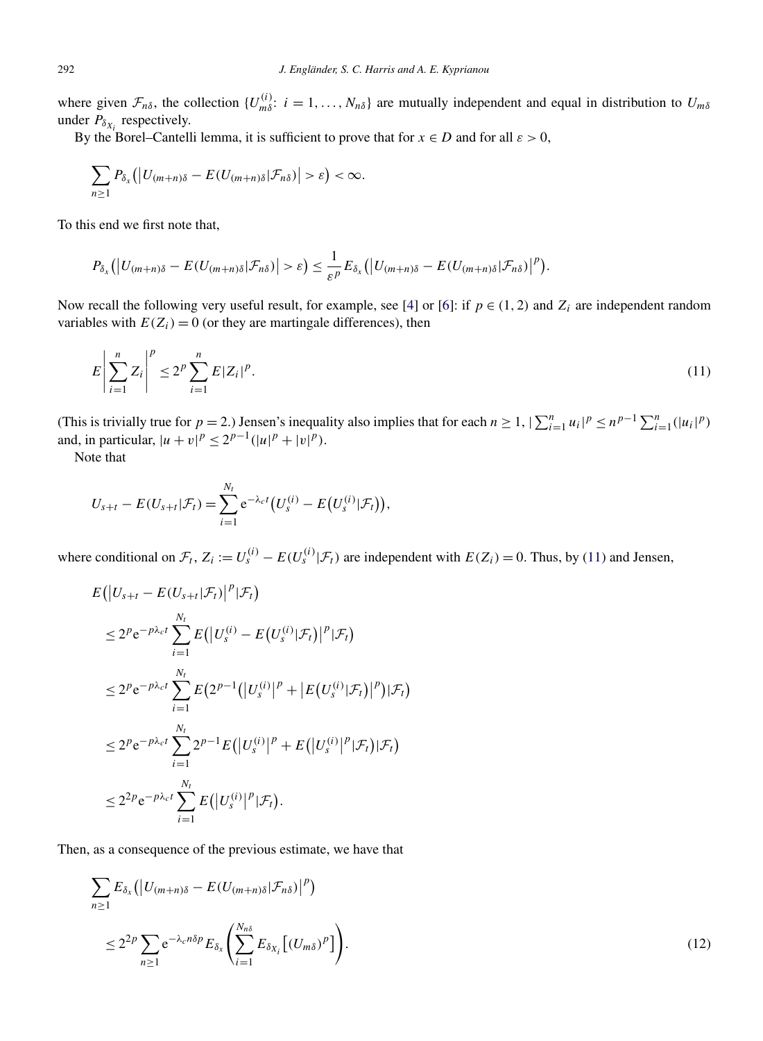<span id="page-13-0"></span>where given  $\mathcal{F}_{n\delta}$ , the collection  $\{U_{m\delta}^{(i)}: i=1,\ldots,N_{n\delta}\}\$  are mutually independent and equal in distribution to  $U_{m\delta}$ under  $P_{\delta_{X_i}}$  respectively.

By the Borel–Cantelli lemma, it is sufficient to prove that for  $x \in D$  and for all  $\varepsilon > 0$ ,

$$
\sum_{n\geq 1} P_{\delta_x}\big(\big|U_{(m+n)\delta}-E(U_{(m+n)\delta}|\mathcal{F}_{n\delta})\big|>\varepsilon\big)<\infty.
$$

To this end we first note that,

$$
P_{\delta_x}\big(\big|U_{(m+n)\delta}-E(U_{(m+n)\delta}|\mathcal{F}_{n\delta})\big|>\varepsilon\big)\leq \frac{1}{\varepsilon^p}E_{\delta_x}\big(\big|U_{(m+n)\delta}-E(U_{(m+n)\delta}|\mathcal{F}_{n\delta})\big|^p\big).
$$

Now recall the following very useful result, for example, see [\[4\]](#page-18-0) or [\[6\]](#page-18-0): if  $p \in (1, 2)$  and  $Z_i$  are independent random variables with  $E(Z_i) = 0$  (or they are martingale differences), then

$$
E\left|\sum_{i=1}^{n}Z_{i}\right|^{p}\leq 2^{p}\sum_{i=1}^{n}E|Z_{i}|^{p}.
$$
\n(11)

(This is trivially true for  $p = 2$ .) Jensen's inequality also implies that for each  $n \ge 1$ ,  $|\sum_{i=1}^{n} u_i|^p \le n^{p-1} \sum_{i=1}^{n} (|u_i|^p)$ and, in particular,  $|u + v|^p \le 2^{p-1}(|u|^p + |v|^p)$ .

Note that

$$
U_{s+t} - E(U_{s+t}|\mathcal{F}_t) = \sum_{i=1}^{N_t} e^{-\lambda_c t} (U_s^{(i)} - E(U_s^{(i)}|\mathcal{F}_t)),
$$

where conditional on  $\mathcal{F}_t$ ,  $Z_i := U_s^{(i)} - E(U_s^{(i)} | \mathcal{F}_t)$  are independent with  $E(Z_i) = 0$ . Thus, by (11) and Jensen,

$$
E(|U_{s+t} - E(U_{s+t}|\mathcal{F}_t)|^p |\mathcal{F}_t)
$$
  
\n
$$
\leq 2^p e^{-p\lambda_c t} \sum_{i=1}^{N_t} E(|U_s^{(i)} - E(U_s^{(i)}|\mathcal{F}_t)|^p |\mathcal{F}_t)
$$
  
\n
$$
\leq 2^p e^{-p\lambda_c t} \sum_{i=1}^{N_t} E(2^{p-1}(|U_s^{(i)}|^p + |E(U_s^{(i)}|\mathcal{F}_t)|^p) |\mathcal{F}_t)
$$
  
\n
$$
\leq 2^p e^{-p\lambda_c t} \sum_{i=1}^{N_t} 2^{p-1} E(|U_s^{(i)}|^p + E(|U_s^{(i)}|^p |\mathcal{F}_t) |\mathcal{F}_t)
$$
  
\n
$$
\leq 2^{2p} e^{-p\lambda_c t} \sum_{i=1}^{N_t} E(|U_s^{(i)}|^p |\mathcal{F}_t).
$$

Then, as a consequence of the previous estimate, we have that

$$
\sum_{n\geq 1} E_{\delta_x} \left( \left| U_{(m+n)\delta} - E(U_{(m+n)\delta} | \mathcal{F}_{n\delta}) \right|^p \right)
$$
  

$$
\leq 2^{2p} \sum_{n\geq 1} e^{-\lambda_c n \delta p} E_{\delta_x} \left( \sum_{i=1}^{N_{n\delta}} E_{\delta_{X_i}} \left[ (U_{m\delta})^p \right] \right).
$$
 (12)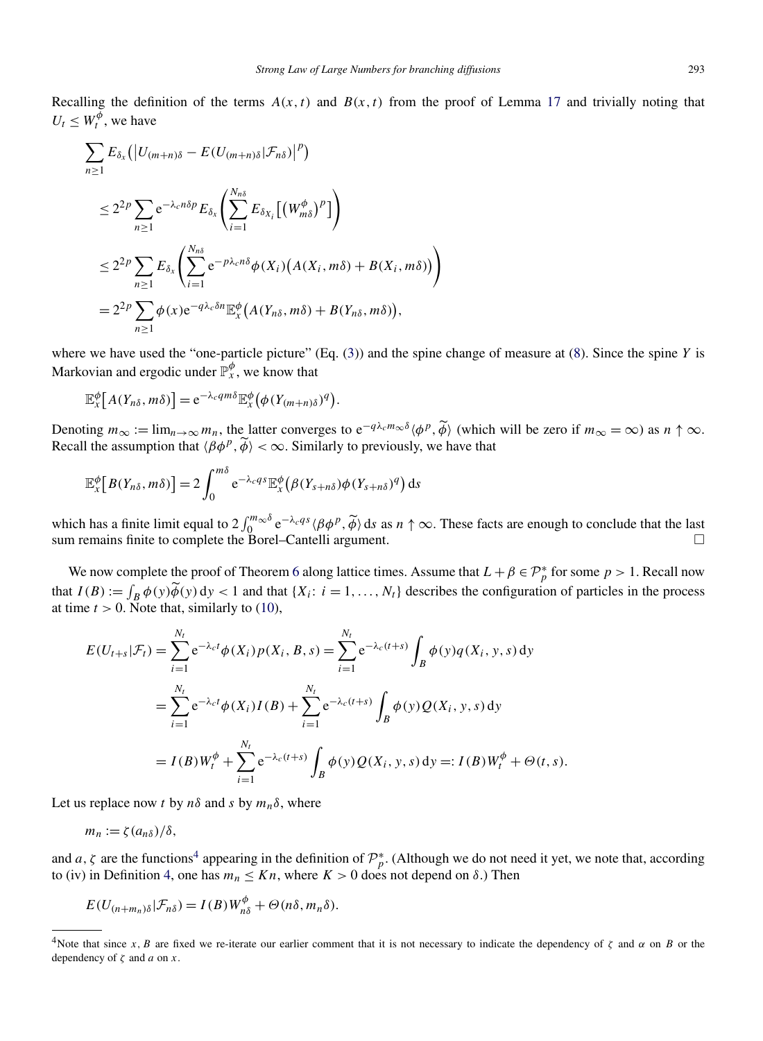Recalling the definition of the terms  $A(x, t)$  and  $B(x, t)$  from the proof of Lemma [17](#page-12-0) and trivially noting that  $U_t \leq W_t^{\phi}$ , we have

$$
\sum_{n\geq 1} E_{\delta_x} (|U_{(m+n)\delta} - E(U_{(m+n)\delta}|\mathcal{F}_{n\delta})|^p)
$$
  
\n
$$
\leq 2^{2p} \sum_{n\geq 1} e^{-\lambda_c n\delta p} E_{\delta_x} \left( \sum_{i=1}^{N_{n\delta}} E_{\delta_{X_i}} [(W_{m\delta}^{\phi})^p] \right)
$$
  
\n
$$
\leq 2^{2p} \sum_{n\geq 1} E_{\delta_x} \left( \sum_{i=1}^{N_{n\delta}} e^{-p\lambda_c n\delta} \phi(X_i) (A(X_i, m\delta) + B(X_i, m\delta)) \right)
$$
  
\n
$$
= 2^{2p} \sum_{n\geq 1} \phi(x) e^{-q\lambda_c \delta n} \mathbb{E}_x^{\phi} (A(Y_{n\delta}, m\delta) + B(Y_{n\delta}, m\delta)),
$$

where we have used the "one-particle picture" (Eq. [\(3\)](#page-3-0)) and the spine change of measure at [\(8\)](#page-10-0). Since the spine *Y* is Markovian and ergodic under  $\mathbb{P}_{x}^{\phi}$ , we know that

$$
\mathbb{E}_x^{\phi}\big[A(Y_{n\delta},m\delta)\big] = e^{-\lambda_c q m\delta} \mathbb{E}_x^{\phi}\big(\phi(Y_{(m+n)\delta})^q\big).
$$

Denoting  $m_{\infty} := \lim_{n \to \infty} m_n$ , the latter converges to  $e^{-q\lambda_c m_{\infty}\delta} \langle \phi^p, \tilde{\phi} \rangle$  (which will be zero if  $m_{\infty} = \infty$ ) as  $n \uparrow \infty$ . Recall the assumption that  $\langle \beta \phi^p, \widetilde{\phi} \rangle < \infty$ . Similarly to previously, we have that

$$
\mathbb{E}_x^{\phi}\big[B(Y_{n\delta},m\delta)\big]=2\int_0^{m\delta} e^{-\lambda_c q s}\mathbb{E}_x^{\phi}\big(\beta(Y_{s+n\delta})\phi(Y_{s+n\delta})^q\big) ds
$$

which has a finite limit equal to  $2 \int_0^{m_\infty \delta} e^{-\lambda_c q_s} \langle \beta \phi^p, \widetilde{\phi} \rangle$  ds as  $n \uparrow \infty$ . These facts are enough to conclude that the last sum remains finite to complete the Borel–Cantelli argument.  $\Box$ 

We now complete the proof of Theorem [6](#page-4-0) along lattice times. Assume that  $L + \beta \in \mathcal{P}_p^*$  for some  $p > 1$ . Recall now that  $I(B) := \int_B \phi(y) \widetilde{\phi}(y) dy < 1$  and that  $\{X_i : i = 1, ..., N_t\}$  describes the configuration of particles in the process at time  $t > 0$ . Note that, similarly to [\(10\)](#page-12-0),

$$
E(U_{t+s}|\mathcal{F}_t) = \sum_{i=1}^{N_t} e^{-\lambda_c t} \phi(X_i) p(X_i, B, s) = \sum_{i=1}^{N_t} e^{-\lambda_c (t+s)} \int_B \phi(y) q(X_i, y, s) dy
$$
  
= 
$$
\sum_{i=1}^{N_t} e^{-\lambda_c t} \phi(X_i) I(B) + \sum_{i=1}^{N_t} e^{-\lambda_c (t+s)} \int_B \phi(y) Q(X_i, y, s) dy
$$
  
= 
$$
I(B) W_t^{\phi} + \sum_{i=1}^{N_t} e^{-\lambda_c (t+s)} \int_B \phi(y) Q(X_i, y, s) dy =: I(B) W_t^{\phi} + \Theta(t, s).
$$

Let us replace now *t* by  $n\delta$  and *s* by  $m_n\delta$ , where

$$
m_n:=\zeta(a_{n\delta})/\delta,
$$

and *a*,  $\zeta$  are the functions<sup>4</sup> appearing in the definition of  $\mathcal{P}_p^*$ . (Although we do not need it yet, we note that, according to (iv) in Definition [4,](#page-3-0) one has  $m_n \leq Kn$ , where  $K > 0$  does not depend on  $\delta$ .) Then

$$
E(U_{(n+m_n)\delta}|\mathcal{F}_{n\delta})=I(B)W_{n\delta}^{\phi}+\Theta(n\delta,m_n\delta).
$$

<sup>&</sup>lt;sup>4</sup>Note that since *x*, *B* are fixed we re-iterate our earlier comment that it is not necessary to indicate the dependency of  $\zeta$  and  $\alpha$  on *B* or the dependency of *ζ* and *a* on *x*.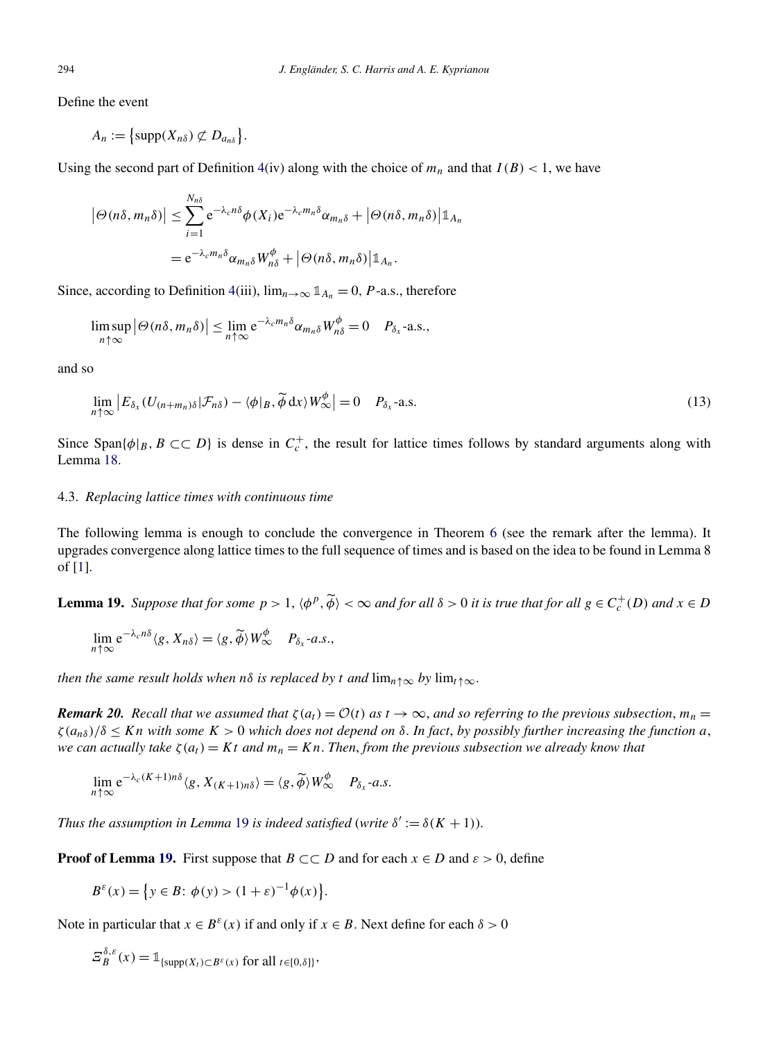Define the event

 $A_n := \left\{ \text{supp}(X_{n\delta}) \not\subset D_{a_{n\delta}} \right\}.$ 

Using the second part of Definition  $4(iv)$  $4(iv)$  along with the choice of  $m_n$  and that  $I(B) < 1$ , we have

$$
|\Theta(n\delta, m_n\delta)| \leq \sum_{i=1}^{N_{n\delta}} e^{-\lambda_c n\delta} \phi(X_i) e^{-\lambda_c m_n\delta} \alpha_{m_n\delta} + |\Theta(n\delta, m_n\delta)| \mathbb{1}_{A_n}
$$
  
=  $e^{-\lambda_c m_n\delta} \alpha_{m_n\delta} W_{n\delta}^{\phi} + |\Theta(n\delta, m_n\delta)| \mathbb{1}_{A_n}.$ 

Since, according to Definition [4\(](#page-3-0)iii),  $\lim_{n\to\infty} \mathbb{1}_{A_n} = 0$ , *P*-a.s., therefore

$$
\limsup_{n\uparrow\infty} |\Theta(n\delta,m_n\delta)| \leq \lim_{n\uparrow\infty} e^{-\lambda_c m_n\delta} \alpha_{m_n\delta} W_{n\delta}^{\phi} = 0 \quad P_{\delta_x} \text{-a.s.},
$$

and so

$$
\lim_{n \uparrow \infty} \left| E_{\delta_x} (U_{(n+m_n)\delta} | \mathcal{F}_{n\delta}) - \langle \phi |_{B}, \widetilde{\phi} \, dx \rangle W^{\phi}_{\infty} \right| = 0 \quad P_{\delta_x} \text{-a.s.}
$$
\n(13)

Since Span $\{\phi|_B, B \subset\subset D\}$  is dense in  $C_c^+$ , the result for lattice times follows by standard arguments along with Lemma [18.](#page-12-0)

## 4.3. *Replacing lattice times with continuous time*

The following lemma is enough to conclude the convergence in Theorem [6](#page-4-0) (see the remark after the lemma). It upgrades convergence along lattice times to the full sequence of times and is based on the idea to be found in Lemma 8 of [\[1\]](#page-18-0).

**Lemma 19.** Suppose that for some  $p > 1$ ,  $\langle \phi^p, \widetilde{\phi} \rangle < \infty$  and for all  $\delta > 0$  it is true that for all  $g \in C_c^+(D)$  and  $x \in D$ 

$$
\lim_{n\uparrow\infty} e^{-\lambda_c n\delta} \langle g, X_{n\delta} \rangle = \langle g, \widetilde{\phi} \rangle W^{\phi}_{\infty} \quad P_{\delta_x} \text{-} a.s.,
$$

*then the same result holds when n* $\delta$  *is replaced by t and*  $\lim_{n \uparrow \infty}$  *by*  $\lim_{t \uparrow \infty}$ *.* 

*Remark 20. Recall that we assumed that*  $\zeta(a_t) = \mathcal{O}(t)$  *as*  $t \to \infty$ *, and so referring to the previous subsection,*  $m_n =$  $\zeta(a_{n\delta})/\delta \leq Kn$  *with some*  $K > 0$  *which does not depend on*  $\delta$ . *In fact, by possibly further increasing the function a*, *we can actually take*  $\zeta(a_t) = Kt$  *and*  $m_n = Kn$ . *Then, from the previous subsection we already know that* 

$$
\lim_{n \uparrow \infty} e^{-\lambda_c (K+1) n \delta} \langle g, X_{(K+1) n \delta} \rangle = \langle g, \widetilde{\phi} \rangle W^{\phi}_{\infty} \quad P_{\delta_x} \text{-} a.s.
$$

*Thus the assumption in Lemma* 19 *is indeed satisfied* (*write*  $\delta' := \delta(K + 1)$ ).

**Proof of Lemma 19.** First suppose that  $B \subset\subset D$  and for each  $x \in D$  and  $\varepsilon > 0$ , define

$$
B^{\varepsilon}(x) = \{ y \in B : \phi(y) > (1 + \varepsilon)^{-1} \phi(x) \}.
$$

Note in particular that  $x \in B^{\varepsilon}(x)$  if and only if  $x \in B$ . Next define for each  $\delta > 0$ 

$$
\mathcal{Z}_{B}^{\delta,\varepsilon}(x) = \mathbb{1}_{\{\text{supp}(X_t) \subset B^{\varepsilon}(x) \text{ for all } t \in [0,\delta]\}},
$$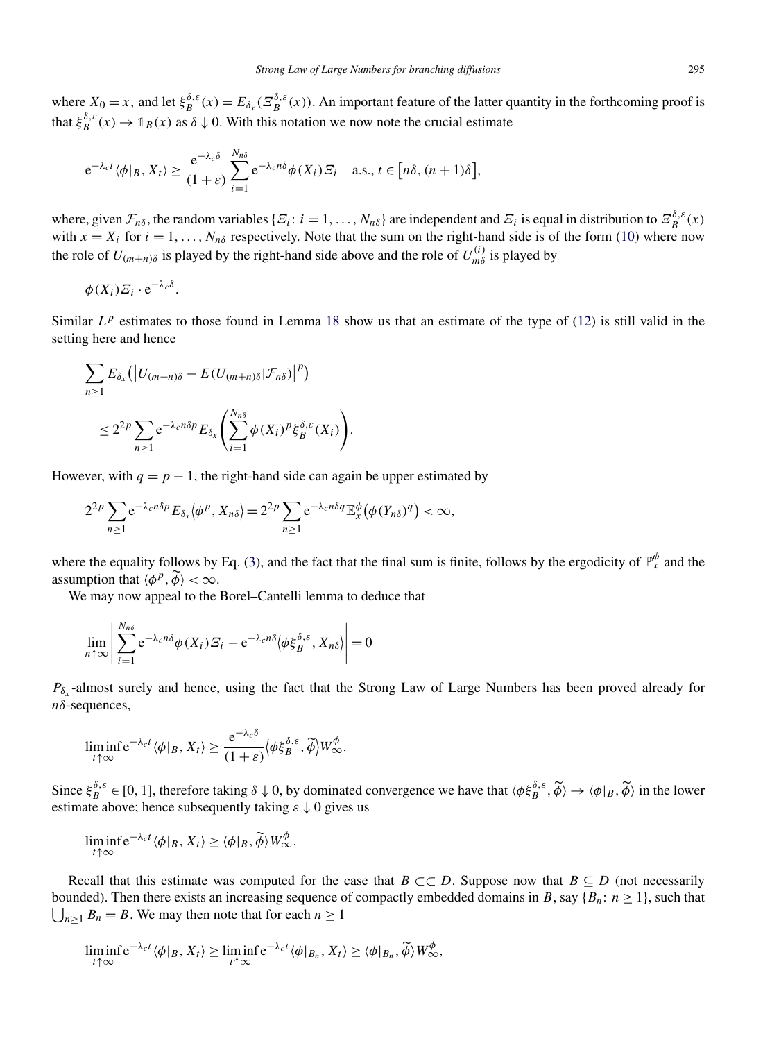where  $X_0 = x$ , and let  $\xi_B^{\delta,\varepsilon}(x) = E_{\delta_x}(\Xi_B^{\delta,\varepsilon}(x))$ . An important feature of the latter quantity in the forthcoming proof is that  $\xi_B^{\delta,\varepsilon}(x) \to \mathbb{1}_B(x)$  as  $\delta \downarrow 0$ . With this notation we now note the crucial estimate

$$
e^{-\lambda_c t} \langle \phi | B, X_t \rangle \geq \frac{e^{-\lambda_c \delta}}{(1+\varepsilon)} \sum_{i=1}^{N_{n\delta}} e^{-\lambda_c n\delta} \phi(X_i) \mathcal{E}_i \quad \text{a.s., } t \in [n\delta, (n+1)\delta],
$$

where, given  $\mathcal{F}_{n\delta}$ , the random variables  $\{\mathcal{F}_i: i = 1, ..., N_{n\delta}\}$  are independent and  $\mathcal{F}_i$  is equal in distribution to  $\mathcal{F}_{B}^{\delta,\epsilon}(x)$ with  $x = X_i$  for  $i = 1, ..., N_n$ <sup>ng</sup> respectively. Note that the sum on the right-hand side is of the form [\(10\)](#page-12-0) where now the role of  $U_{(m+n)\delta}$  is played by the right-hand side above and the role of  $U_{m\delta}^{(i)}$  is played by

$$
\phi(X_i) \varXi_i \cdot e^{-\lambda_c \delta}.
$$

Similar  $L^p$  estimates to those found in Lemma [18](#page-12-0) show us that an estimate of the type of [\(12\)](#page-13-0) is still valid in the setting here and hence

$$
\sum_{n\geq 1} E_{\delta_x} (|U_{(m+n)\delta} - E(U_{(m+n)\delta}|\mathcal{F}_{n\delta})|^p)
$$
  

$$
\leq 2^{2p} \sum_{n\geq 1} e^{-\lambda_c n\delta p} E_{\delta_x} \left( \sum_{i=1}^{N_{n\delta}} \phi(X_i)^p \xi_B^{\delta,\varepsilon}(X_i) \right).
$$

However, with  $q = p - 1$ , the right-hand side can again be upper estimated by

$$
2^{2p}\sum_{n\geq 1}\mathrm{e}^{-\lambda_c n\delta p}E_{\delta_x}\langle \phi^p, X_{n\delta}\rangle = 2^{2p}\sum_{n\geq 1}\mathrm{e}^{-\lambda_c n\delta q}\mathbb{E}_x^{\phi}\big(\phi(Y_{n\delta})^q\big) < \infty,
$$

where the equality follows by Eq. [\(3\)](#page-3-0), and the fact that the final sum is finite, follows by the ergodicity of  $\mathbb{P}_x^{\phi}$  and the assumption that  $\langle \phi^p, \widetilde{\phi} \rangle < \infty$ .

We may now appeal to the Borel–Cantelli lemma to deduce that

$$
\lim_{n \uparrow \infty} \left| \sum_{i=1}^{N_{n\delta}} e^{-\lambda_c n\delta} \phi(X_i) \mathcal{E}_i - e^{-\lambda_c n\delta} \langle \phi \xi_B^{\delta,\varepsilon}, X_{n\delta} \rangle \right| = 0
$$

 $P_{\delta_r}$ -almost surely and hence, using the fact that the Strong Law of Large Numbers has been proved already for *nδ*-sequences,

$$
\liminf_{t \uparrow \infty} e^{-\lambda_c t} \langle \phi |_{B}, X_t \rangle \geq \frac{e^{-\lambda_c \delta}}{(1+\varepsilon)} \langle \phi \xi_B^{\delta, \varepsilon}, \widetilde{\phi} \rangle W_{\infty}^{\phi}.
$$

Since  $\xi_B^{\delta,\varepsilon} \in [0,1]$ , therefore taking  $\delta \downarrow 0$ , by dominated convergence we have that  $\langle \phi \xi_B^{\delta,\varepsilon}, \widetilde{\phi} \rangle \to \langle \phi |_B, \widetilde{\phi} \rangle$  in the lower estimate above; hence subsequently taking *ε* ↓ 0 gives us

$$
\liminf_{t \uparrow \infty} e^{-\lambda_c t} \langle \phi |_{B}, X_t \rangle \geq \langle \phi |_{B}, \widetilde{\phi} \rangle W_{\infty}^{\phi}.
$$

Recall that this estimate was computed for the case that  $B \subset\subset D$ . Suppose now that  $B \subseteq D$  (not necessarily  $\bigcup_{n\geq 1} B_n = B$ . We may then note that for each  $n \geq 1$ bounded). Then there exists an increasing sequence of compactly embedded domains in *B*, say { $B_n$ :  $n \ge 1$ }, such that

$$
\liminf_{t \uparrow \infty} e^{-\lambda_c t} \langle \phi |_{B}, X_t \rangle \geq \liminf_{t \uparrow \infty} e^{-\lambda_c t} \langle \phi |_{B_n}, X_t \rangle \geq \langle \phi |_{B_n}, \widetilde{\phi} \rangle W_{\infty}^{\phi},
$$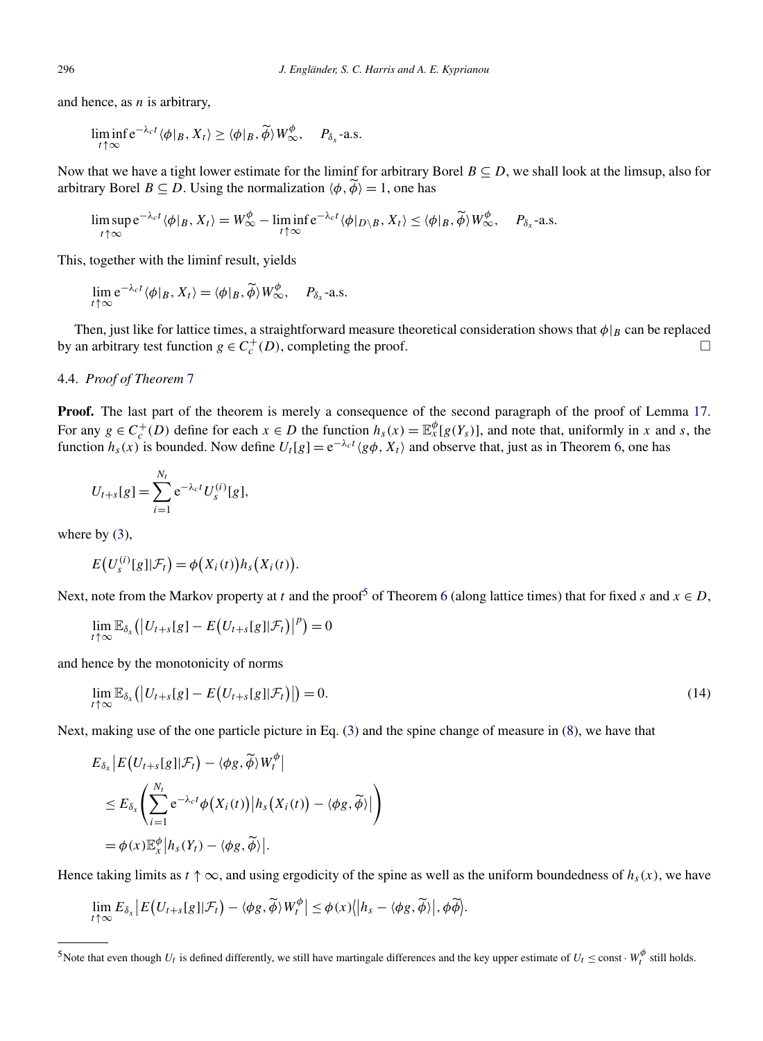and hence, as *n* is arbitrary,

$$
\liminf_{t \uparrow \infty} e^{-\lambda_c t} \langle \phi |_{B}, X_t \rangle \geq \langle \phi |_{B}, \widetilde{\phi} \rangle W^{\phi}_{\infty}, \quad P_{\delta_x} \text{-a.s.}
$$

Now that we have a tight lower estimate for the liminf for arbitrary Borel  $B \subseteq D$ , we shall look at the limsup, also for arbitrary Borel  $B \subseteq D$ . Using the normalization  $\langle \phi, \phi \rangle = 1$ , one has

$$
\limsup_{t \uparrow \infty} e^{-\lambda_c t} \langle \phi |_{B} , X_t \rangle = W_{\infty}^{\phi} - \liminf_{t \uparrow \infty} e^{-\lambda_c t} \langle \phi |_{D \setminus B} , X_t \rangle \le \langle \phi |_{B} , \widetilde{\phi} \rangle W_{\infty}^{\phi}, \quad P_{\delta_x} \text{-a.s.}
$$

This, together with the liminf result, yields

$$
\lim_{t\uparrow\infty} e^{-\lambda_c t} \langle \phi|_B, X_t \rangle = \langle \phi|_B, \widetilde{\phi} \rangle W^{\phi}_{\infty}, \quad P_{\delta_x} \text{-a.s.}
$$

Then, just like for lattice times, a straightforward measure theoretical consideration shows that  $\phi|_B$  can be replaced by an arbitrary test function  $g \in C_c^+(D)$ , completing the proof.  $\Box$ 

# 4.4. *Proof of Theorem* [7](#page-4-0)

**Proof.** The last part of the theorem is merely a consequence of the second paragraph of the proof of Lemma [17.](#page-12-0) For any  $g \in C_c^+(D)$  define for each  $x \in D$  the function  $h_s(x) = \mathbb{E}_x^{\phi}[g(Y_s)]$ , and note that, uniformly in *x* and *s*, the function  $h_s(x)$  is bounded. Now define  $U_t[g] = e^{-\lambda_c t} \langle g\phi, X_t \rangle$  and observe that, just as in Theorem [6,](#page-4-0) one has

$$
U_{t+s}[g] = \sum_{i=1}^{N_t} e^{-\lambda_c t} U_s^{(i)}[g],
$$

where by  $(3)$ ,

$$
E(U_s^{(i)}[g]|\mathcal{F}_t) = \phi(X_i(t))h_s(X_i(t)).
$$

Next, note from the Markov property at *t* and the proof<sup>5</sup> of Theorem [6](#page-4-0) (along lattice times) that for fixed *s* and  $x \in D$ ,

$$
\lim_{t\uparrow\infty}\mathbb{E}_{\delta_x}\big(\big|U_{t+s}[g]-E\big(U_{t+s}[g]|\mathcal{F}_t\big)\big|^p\big)=0
$$

and hence by the monotonicity of norms

$$
\lim_{t \uparrow \infty} \mathbb{E}_{\delta_x}(|U_{t+s}[g] - E(U_{t+s}[g]|\mathcal{F}_t)|) = 0. \tag{14}
$$

Next, making use of the one particle picture in Eq. [\(3\)](#page-3-0) and the spine change of measure in [\(8\)](#page-10-0), we have that

$$
E_{\delta_x} | E(U_{t+s}[g] | \mathcal{F}_t) - \langle \phi g, \widetilde{\phi} \rangle W_t^{\phi}|
$$
  
\n
$$
\leq E_{\delta_x} \left( \sum_{i=1}^{N_t} e^{-\lambda_c t} \phi(X_i(t)) | h_s(X_i(t)) - \langle \phi g, \widetilde{\phi} \rangle | \right)
$$
  
\n
$$
= \phi(x) \mathbb{E}_x^{\phi} | h_s(Y_t) - \langle \phi g, \widetilde{\phi} \rangle |.
$$

Hence taking limits as  $t \uparrow \infty$ , and using ergodicity of the spine as well as the uniform boundedness of  $h_s(x)$ , we have

$$
\lim_{t\uparrow\infty}E_{\delta_x}\big|E\big(U_{t+s}[g]|\mathcal{F}_t\big)-\langle\phi g,\widetilde{\phi}\rangle W_t^{\phi}\big|\leq\phi(x)\big\|\bigh_s-\langle\phi g,\widetilde{\phi}\rangle\big\|,\phi\widetilde{\phi}\big\|.
$$

<span id="page-17-0"></span>

<sup>&</sup>lt;sup>5</sup>Note that even though  $U_t$  is defined differently, we still have martingale differences and the key upper estimate of  $U_t \le \text{const} \cdot W_t^{\phi}$  still holds.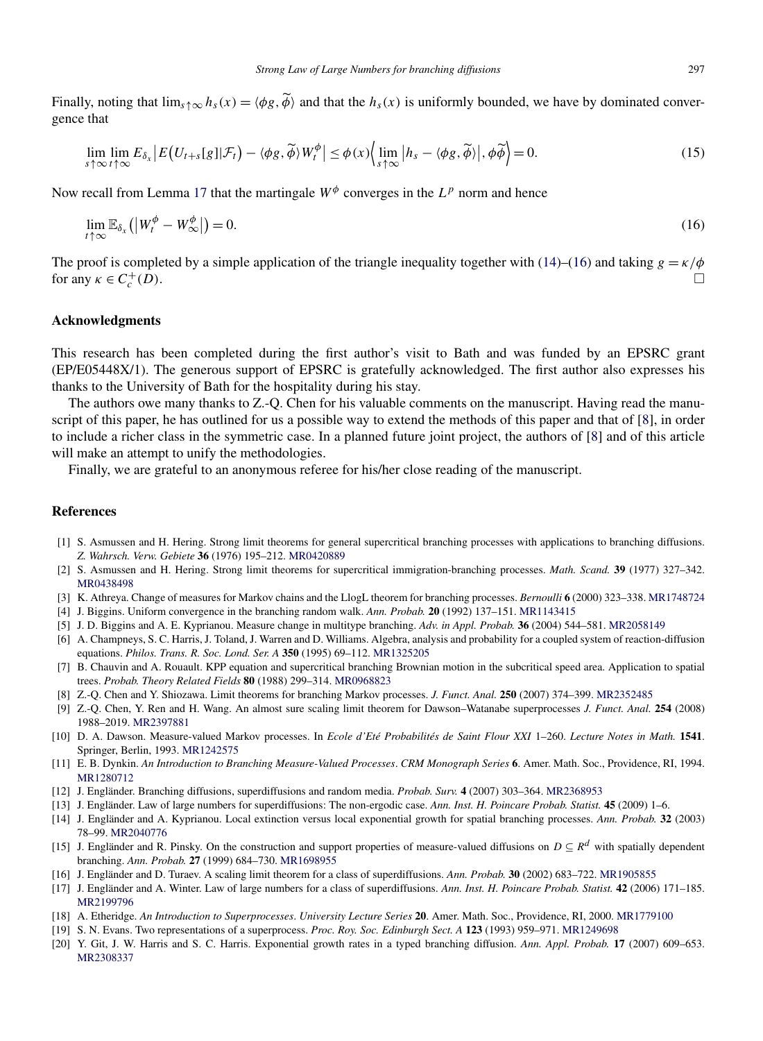<span id="page-18-0"></span>Finally, noting that  $\lim_{s \uparrow \infty} h_s(x) = \langle \phi g, \phi \rangle$  and that the  $h_s(x)$  is uniformly bounded, we have by dominated convergence that

$$
\lim_{s \uparrow \infty} \lim_{t \uparrow \infty} E_{\delta_x} \left| E(U_{t+s}[g] | \mathcal{F}_t) - \langle \phi g, \widetilde{\phi} \rangle W_t^{\phi} \right| \leq \phi(x) \Big\langle \lim_{s \uparrow \infty} \left| h_s - \langle \phi g, \widetilde{\phi} \rangle \right|, \phi \widetilde{\phi} \Big\rangle = 0. \tag{15}
$$

Now recall from Lemma [17](#page-12-0) that the martingale  $W^{\phi}$  converges in the  $L^{p}$  norm and hence

$$
\lim_{t \uparrow \infty} \mathbb{E}_{\delta_x} \left( \left| W_t^{\phi} - W_\infty^{\phi} \right| \right) = 0. \tag{16}
$$

The proof is completed by a simple application of the triangle inequality together with [\(14\)](#page-17-0)–(16) and taking  $g = \kappa/\phi$ for any  $\kappa \in C_c^+(D)$ .  $\int_{c}^{+}(D).$ 

#### **Acknowledgments**

This research has been completed during the first author's visit to Bath and was funded by an EPSRC grant (EP/E05448X/1). The generous support of EPSRC is gratefully acknowledged. The first author also expresses his thanks to the University of Bath for the hospitality during his stay.

The authors owe many thanks to Z.-Q. Chen for his valuable comments on the manuscript. Having read the manuscript of this paper, he has outlined for us a possible way to extend the methods of this paper and that of [8], in order to include a richer class in the symmetric case. In a planned future joint project, the authors of [8] and of this article will make an attempt to unify the methodologies.

Finally, we are grateful to an anonymous referee for his/her close reading of the manuscript.

#### **References**

- [1] S. Asmussen and H. Hering. Strong limit theorems for general supercritical branching processes with applications to branching diffusions. *Z. Wahrsch. Verw. Gebiete* **36** (1976) 195–212. [MR0420889](http://www.ams.org/mathscinet-getitem?mr=0420889)
- [2] S. Asmussen and H. Hering. Strong limit theorems for supercritical immigration-branching processes. *Math. Scand.* **39** (1977) 327–342. [MR0438498](http://www.ams.org/mathscinet-getitem?mr=0438498)
- [3] K. Athreya. Change of measures for Markov chains and the LlogL theorem for branching processes. *Bernoulli* **6** (2000) 323–338. [MR1748724](http://www.ams.org/mathscinet-getitem?mr=1748724)
- [4] J. Biggins. Uniform convergence in the branching random walk. *Ann. Probab.* **20** (1992) 137–151. [MR1143415](http://www.ams.org/mathscinet-getitem?mr=1143415)
- [5] J. D. Biggins and A. E. Kyprianou. Measure change in multitype branching. *Adv. in Appl. Probab.* **36** (2004) 544–581. [MR2058149](http://www.ams.org/mathscinet-getitem?mr=2058149)
- [6] A. Champneys, S. C. Harris, J. Toland, J. Warren and D. Williams. Algebra, analysis and probability for a coupled system of reaction-diffusion equations. *Philos. Trans. R. Soc. Lond. Ser. A* **350** (1995) 69–112. [MR1325205](http://www.ams.org/mathscinet-getitem?mr=1325205)
- [7] B. Chauvin and A. Rouault. KPP equation and supercritical branching Brownian motion in the subcritical speed area. Application to spatial trees. *Probab. Theory Related Fields* **80** (1988) 299–314. [MR0968823](http://www.ams.org/mathscinet-getitem?mr=0968823)
- [8] Z.-Q. Chen and Y. Shiozawa. Limit theorems for branching Markov processes. *J. Funct. Anal.* **250** (2007) 374–399. [MR2352485](http://www.ams.org/mathscinet-getitem?mr=2352485)
- [9] Z.-Q. Chen, Y. Ren and H. Wang. An almost sure scaling limit theorem for Dawson–Watanabe superprocesses *J. Funct. Anal.* **254** (2008) 1988–2019. [MR2397881](http://www.ams.org/mathscinet-getitem?mr=2397881)
- [10] D. A. Dawson. Measure-valued Markov processes. In *Ecole d'Eté Probabilités de Saint Flour XXI* 1–260. *Lecture Notes in Math.* **1541**. Springer, Berlin, 1993. [MR1242575](http://www.ams.org/mathscinet-getitem?mr=1242575)
- [11] E. B. Dynkin. *An Introduction to Branching Measure-Valued Processes*. *CRM Monograph Series* **6**. Amer. Math. Soc., Providence, RI, 1994. [MR1280712](http://www.ams.org/mathscinet-getitem?mr=1280712)
- [12] J. Engländer. Branching diffusions, superdiffusions and random media. *Probab. Surv.* **4** (2007) 303–364. [MR2368953](http://www.ams.org/mathscinet-getitem?mr=2368953)
- [13] J. Engländer. Law of large numbers for superdiffusions: The non-ergodic case. *Ann. Inst. H. Poincare Probab. Statist.* **45** (2009) 1–6.
- [14] J. Engländer and A. Kyprianou. Local extinction versus local exponential growth for spatial branching processes. *Ann. Probab.* **32** (2003) 78–99. [MR2040776](http://www.ams.org/mathscinet-getitem?mr=2040776)
- [15] J. Engländer and R. Pinsky. On the construction and support properties of measure-valued diffusions on *D* ⊆ *R<sup>d</sup>* with spatially dependent branching. *Ann. Probab.* **27** (1999) 684–730. [MR1698955](http://www.ams.org/mathscinet-getitem?mr=1698955)
- [16] J. Engländer and D. Turaev. A scaling limit theorem for a class of superdiffusions. *Ann. Probab.* **30** (2002) 683–722. [MR1905855](http://www.ams.org/mathscinet-getitem?mr=1905855)
- [17] J. Engländer and A. Winter. Law of large numbers for a class of superdiffusions. *Ann. Inst. H. Poincare Probab. Statist.* **42** (2006) 171–185. [MR2199796](http://www.ams.org/mathscinet-getitem?mr=2199796)
- [18] A. Etheridge. *An Introduction to Superprocesses*. *University Lecture Series* **20**. Amer. Math. Soc., Providence, RI, 2000. [MR1779100](http://www.ams.org/mathscinet-getitem?mr=1779100)
- [19] S. N. Evans. Two representations of a superprocess. *Proc. Roy. Soc. Edinburgh Sect. A* **123** (1993) 959–971. [MR1249698](http://www.ams.org/mathscinet-getitem?mr=1249698)
- [20] Y. Git, J. W. Harris and S. C. Harris. Exponential growth rates in a typed branching diffusion. *Ann. Appl. Probab.* **17** (2007) 609–653. [MR2308337](http://www.ams.org/mathscinet-getitem?mr=2308337)